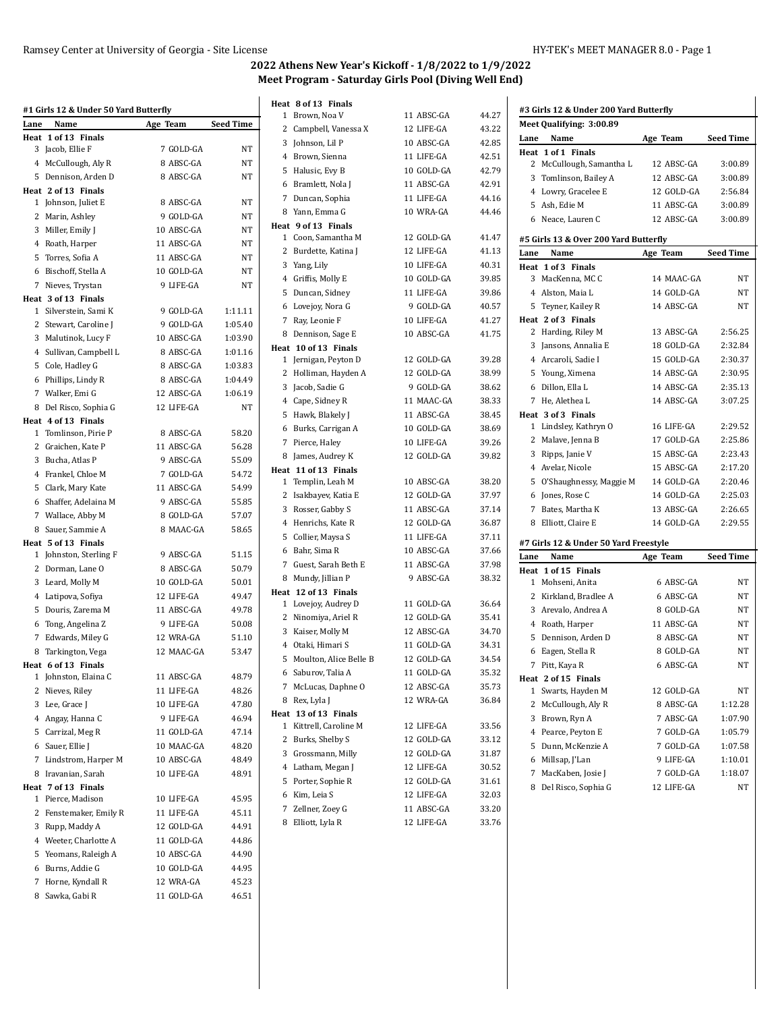$\ddot{\phantom{a}}$ 

| Lane | #1 Girls 12 & Under 50 Yard Butterfly<br>Name | Age Team                | <b>Seed Time</b> |
|------|-----------------------------------------------|-------------------------|------------------|
| Heat | 1 of 13 Finals                                |                         |                  |
|      | 3 Jacob, Ellie F                              | 7 GOLD-GA               | NT               |
|      | 4 McCullough, Aly R                           | 8 ABSC-GA               | NΤ               |
|      | 5 Dennison, Arden D                           | 8 ABSC-GA               | NT               |
|      | Heat 2 of 13 Finals                           |                         |                  |
|      | 1 Johnson, Juliet E                           | 8 ABSC-GA               | NT               |
|      | 2 Marin, Ashley                               | 9 GOLD-GA               | NT               |
|      | 3 Miller, Emily J                             | 10 ABSC-GA              | NT               |
|      | 4 Roath, Harper                               | 11 ABSC-GA              | NT               |
|      | 5 Torres, Sofia A                             | 11 ABSC-GA              | NT               |
|      | 6 Bischoff, Stella A                          | 10 GOLD-GA              | NT               |
|      | 7 Nieves, Trystan                             | 9 LIFE-GA               | NT               |
|      | Heat 3 of 13 Finals                           |                         |                  |
|      | 1 Silverstein, Sami K                         | 9 GOLD-GA               | 1:11.11          |
|      | 2 Stewart, Caroline J                         | 9 GOLD-GA               | 1:05.40          |
|      | 3 Malutinok, Lucy F                           | 10 ABSC-GA              | 1:03.90          |
|      | 4 Sullivan, Campbell L                        | 8 ABSC-GA               | 1:01.16          |
|      | 5 Cole, Hadley G                              | 8 ABSC-GA               | 1:03.83          |
|      | 6 Phillips, Lindy R                           | 8 ABSC-GA               | 1:04.49          |
|      | 7 Walker, Emi G                               | 12 ABSC-GA              | 1:06.19          |
|      | 8 Del Risco, Sophia G                         | 12 LIFE-GA              | NT               |
|      | Heat 4 of 13 Finals                           |                         |                  |
|      | 1 Tomlinson, Pirie P                          | 8 ABSC-GA               | 58.20            |
|      | 2 Graichen, Kate P                            | 11 ABSC-GA              | 56.28            |
|      | 3 Bucha, Atlas P                              | 9 ABSC-GA               | 55.09            |
|      | 4 Frankel, Chloe M                            | 7 GOLD-GA               | 54.72            |
|      | 5 Clark, Mary Kate                            | 11 ABSC-GA              | 54.99            |
|      | 6 Shaffer, Adelaina M                         | 9 ABSC-GA               | 55.85            |
|      | 7 Wallace, Abby M                             | 8 GOLD-GA               | 57.07            |
|      | 8 Sauer, Sammie A                             | 8 MAAC-GA               | 58.65            |
|      | Heat 5 of 13 Finals                           |                         |                  |
|      | 1 Johnston, Sterling F                        | 9 ABSC-GA               | 51.15            |
|      | 2 Dorman, Lane O                              | 8 ABSC-GA<br>10 GOLD-GA | 50.79<br>50.01   |
|      | 3 Leard, Molly M                              | 12 LIFE-GA              |                  |
|      | 4 Latipova, Sofiya<br>5 Douris, Zarema M      | 11 ABSC-GA              | 49.47<br>49.78   |
|      | 6 Tong, Angelina Z                            | 9 LIFE-GA               | 50.08            |
|      |                                               | 12 WRA-GA               | 51.10            |
|      | 7 Edwards, Miley G                            | 12 MAAC-GA              | 53.47            |
|      | 8 Tarkington, Vega<br>Heat 6 of 13 Finals     |                         |                  |
|      | 1 Johnston, Elaina C                          | 11 ABSC-GA              | 48.79            |
|      | 2 Nieves, Riley                               | 11 LIFE-GA              | 48.26            |
|      | 3 Lee, Grace J                                | 10 LIFE-GA              | 47.80            |
|      | 4 Angay, Hanna C                              | 9 LIFE-GA               | 46.94            |
|      | 5 Carrizal, Meg R                             | 11 GOLD-GA              | 47.14            |
|      | 6 Sauer, Ellie J                              | 10 MAAC-GA              | 48.20            |
| 7    | Lindstrom, Harper M                           | 10 ABSC-GA              | 48.49            |
| 8    | Iravanian, Sarah                              | 10 LIFE-GA              | 48.91            |
|      | Heat 7 of 13 Finals                           |                         |                  |
| 1    | Pierce, Madison                               | 10 LIFE-GA              | 45.95            |
| 2    | Fenstemaker, Emily R                          | 11 LIFE-GA              | 45.11            |
| 3    | Rupp, Maddy A                                 | 12 GOLD-GA              | 44.91            |
|      | 4 Weeter, Charlotte A                         | 11 GOLD-GA              | 44.86            |
| 5    | Yeomans, Raleigh A                            | 10 ABSC-GA              | 44.90            |
| 6    | Burns, Addie G                                | 10 GOLD-GA              | 44.95            |
| 7    | Horne, Kyndall R                              | 12 WRA-GA               | 45.23            |
| 8    | Sawka, Gabi R                                 | 11 GOLD-GA              | 46.51            |
|      |                                               |                         |                  |

|              | Heat 8 of 13 Finals                        |            |       |
|--------------|--------------------------------------------|------------|-------|
| 1            | Brown, Noa V                               | 11 ABSC-GA | 44.27 |
| 2            | Campbell, Vanessa X                        | 12 LIFE-GA | 43.22 |
| 3            | Johnson, Lil P                             | 10 ABSC-GA | 42.85 |
|              | 4 Brown, Sienna                            | 11 LIFE-GA | 42.51 |
| 5            | Halusic, Evy B                             | 10 GOLD-GA | 42.79 |
|              | 6 Bramlett, Nola J                         | 11 ABSC-GA | 42.91 |
| 7            | Duncan, Sophia                             | 11 LIFE-GA | 44.16 |
|              | 8 Yann, Emma G                             | 10 WRA-GA  | 44.46 |
|              | Heat 9 of 13 Finals                        |            |       |
| $\mathbf{1}$ | Coon, Samantha M                           | 12 GOLD-GA | 41.47 |
| $\mathbf{2}$ | Burdette, Katina J                         | 12 LIFE-GA | 41.13 |
|              | 3 Yang, Lily                               | 10 LIFE-GA | 40.31 |
|              | 4 Griffis, Molly E                         | 10 GOLD-GA | 39.85 |
| 5            | Duncan, Sidney                             | 11 LIFE-GA | 39.86 |
|              | 6 Lovejoy, Nora G                          | 9 GOLD-GA  | 40.57 |
| 7            | Ray, Leonie F                              | 10 LIFE-GA | 41.27 |
|              | 8 Dennison, Sage E                         | 10 ABSC-GA | 41.75 |
| $\mathbf{1}$ | Heat 10 of 13 Finals<br>Jernigan, Peyton D | 12 GOLD-GA | 39.28 |
| $\mathbf{2}$ | Holliman, Hayden A                         | 12 GOLD-GA | 38.99 |
| 3            | Jacob, Sadie G                             | 9 GOLD-GA  | 38.62 |
|              | 4 Cape, Sidney R                           | 11 MAAC-GA | 38.33 |
| 5            | Hawk, Blakely J                            | 11 ABSC-GA | 38.45 |
|              | 6 Burks, Carrigan A                        | 10 GOLD-GA | 38.69 |
| 7            | Pierce, Haley                              | 10 LIFE-GA | 39.26 |
|              | 8 James, Audrey K                          | 12 GOLD-GA | 39.82 |
|              | Heat 11 of 13 Finals                       |            |       |
| $\mathbf{1}$ | Templin, Leah M                            | 10 ABSC-GA | 38.20 |
| $\mathbf{2}$ | Isakbayev, Katia E                         | 12 GOLD-GA | 37.97 |
|              | 3 Rosser, Gabby S                          | 11 ABSC-GA | 37.14 |
| 4            | Henrichs, Kate R                           | 12 GOLD-GA | 36.87 |
| 5            | Collier, Maysa S                           | 11 LIFE-GA | 37.11 |
|              | 6 Bahr, Sima R                             | 10 ABSC-GA | 37.66 |
| 7            | Guest, Sarah Beth E                        | 11 ABSC-GA | 37.98 |
|              | 8 Mundy, Jillian P                         | 9 ABSC-GA  | 38.32 |
|              | Heat 12 of 13 Finals                       |            |       |
| $\mathbf{1}$ | Lovejoy, Audrey D                          | 11 GOLD-GA | 36.64 |
| $\mathbf{2}$ | Ninomiya, Ariel R                          | 12 GOLD-GA | 35.41 |
|              | 3 Kaiser, Molly M                          | 12 ABSC-GA | 34.70 |
| 4            | Otaki, Himari S                            | 11 GOLD-GA | 34.31 |
| 5            | Moulton, Alice Belle B                     | 12 GOLD-GA | 34.54 |
|              | 6 Saburov, Talia A                         | 11 GOLD-GA | 35.32 |
|              | 7 McLucas, Daphne O                        | 12 ABSC-GA | 35.73 |
|              | 8 Rex, Lyla J                              | 12 WRA-GA  | 36.84 |
|              | Heat 13 of 13 Finals                       |            |       |
| 1            | Kittrell, Caroline M                       | 12 LIFE-GA | 33.56 |
|              | 2 Burks, Shelby S                          | 12 GOLD-GA | 33.12 |
|              | 3 Grossmann, Milly                         | 12 GOLD-GA | 31.87 |
|              | 4 Latham, Megan J                          | 12 LIFE-GA | 30.52 |
|              | 5 Porter, Sophie R                         | 12 GOLD-GA | 31.61 |
|              | 6 Kim, Leia S                              | 12 LIFE-GA | 32.03 |
|              | 7 Zellner, Zoey G                          | 11 ABSC-GA | 33.20 |
|              | 8 Elliott, Lyla R                          | 12 LIFE-GA | 33.76 |

| 11 ABSC-GA               | 44.27 |  |
|--------------------------|-------|--|
| 12 LIFE-GA               | 43.22 |  |
| 10 ABSC-GA               | 42.85 |  |
| 11 LIFE-GA               | 42.51 |  |
| 10 GOLD-GA               | 42.79 |  |
| 11 ABSC-GA               | 42.91 |  |
| 11 LIFE-GA               | 44.16 |  |
| 10 WRA-GA                | 44.46 |  |
|                          |       |  |
| 12 GOLD-GA               | 41.47 |  |
| 12 LIFE-GA               | 41.13 |  |
| 10 LIFE-GA               | 40.31 |  |
| 10 GOLD-GA               | 39.85 |  |
| 11 LIFE-GA               | 39.86 |  |
| 9 GOLD-GA                | 40.57 |  |
| 10 LIFE-GA               | 41.27 |  |
| 10 ABSC-GA               | 41.75 |  |
|                          |       |  |
| 12 GOLD-GA               | 39.28 |  |
| 12 GOLD-GA               | 38.99 |  |
| 9 GOLD-GA                | 38.62 |  |
| 11 MAAC-GA               | 38.33 |  |
| 11 ABSC-GA               | 38.45 |  |
| 10 GOLD-GA               | 38.69 |  |
| 10 LIFE-GA               | 39.26 |  |
| 12 GOLD-GA               | 39.82 |  |
| 10 ABSC-GA               | 38.20 |  |
| 12 GOLD-GA               | 37.97 |  |
| 11 ABSC-GA               | 37.14 |  |
| 12 GOLD-GA               | 36.87 |  |
|                          | 37.11 |  |
| 11 LIFE-GA<br>10 ABSC-GA |       |  |
|                          | 37.66 |  |
| 11 ABSC-GA               | 37.98 |  |
| 9 ABSC-GA                | 38.32 |  |
| 11 GOLD-GA               | 36.64 |  |
| 12 GOLD-GA               | 35.41 |  |
| 12 ABSC-GA               | 34.70 |  |
| 11 GOLD-GA               | 34.31 |  |
| 12 GOLD-GA               | 34.54 |  |
| 11 GOLD-GA               | 35.32 |  |
| 12 ABSC-GA               | 35.73 |  |
| 12 WRA-GA                | 36.84 |  |
|                          |       |  |
| 12 LIFE-GA               | 33.56 |  |
| 12 GOLD-GA               | 33.12 |  |
| 12 GOLD-GA               | 31.87 |  |
| 12 LIFE-GA               | 30.52 |  |
| 12 GOLD-GA               | 31.61 |  |
| 12 LIFE-GA               | 32.03 |  |
| 11 ABSC-GA               | 33.20 |  |
| 12 LIFE-GA               | 33.76 |  |

| #3 Girls 12 & Under 200 Yard Butterfly |                                       |            |                  |
|----------------------------------------|---------------------------------------|------------|------------------|
|                                        | Meet Qualifying: 3:00.89              |            |                  |
| Lane                                   | Name                                  | Age Team   | <b>Seed Time</b> |
|                                        | Heat 1 of 1 Finals                    |            |                  |
|                                        | 2 McCullough, Samantha L              | 12 ABSC-GA | 3:00.89          |
|                                        | 3 Tomlinson, Bailey A                 | 12 ABSC-GA | 3:00.89          |
|                                        | 4 Lowry, Gracelee E                   | 12 GOLD-GA | 2:56.84          |
|                                        | 5 Ash, Edie M                         | 11 ABSC-GA | 3:00.89          |
|                                        | 6 Neace, Lauren C                     | 12 ABSC-GA | 3:00.89          |
|                                        | #5 Girls 13 & Over 200 Yard Butterfly |            |                  |
| Lane                                   | Name                                  | Age Team   | <b>Seed Time</b> |
|                                        | Heat 1 of 3 Finals                    |            |                  |
| 3                                      | MacKenna, MC C                        | 14 MAAC-GA | NΤ               |
|                                        | 4 Alston, Maia L                      | 14 GOLD-GA | NΤ               |
| 5.                                     | Teyner, Kailey R                      | 14 ABSC-GA | NΤ               |
|                                        | Heat 2 of 3 Finals                    |            |                  |
|                                        | 2 Harding, Riley M                    | 13 ABSC-GA | 2:56.25          |
| 3                                      | Jansons, Annalia E                    | 18 GOLD-GA | 2:32.84          |
|                                        | 4 Arcaroli, Sadie I                   | 15 GOLD-GA | 2:30.37          |
|                                        | 5 Young, Ximena                       | 14 ABSC-GA | 2:30.95          |
|                                        | 6 Dillon, Ella L                      | 14 ABSC-GA | 2:35.13          |
|                                        | 7 He. Alethea L                       | 14 ABSC-GA | 3:07.25          |
|                                        | Heat 3 of 3 Finals                    |            |                  |
| $\mathbf{1}$                           | Lindsley, Kathryn O                   | 16 LIFE-GA | 2:29.52          |
|                                        | 2 Malave, Jenna B                     | 17 GOLD-GA | 2:25.86          |
|                                        | 3 Ripps, Janie V                      | 15 ABSC-GA | 2:23.43          |
|                                        | 4 Avelar, Nicole                      | 15 ABSC-GA | 2:17.20          |
|                                        | 5 O'Shaughnessy, Maggie M             | 14 GOLD-GA | 2:20.46          |
|                                        | 6 Jones, Rose C                       | 14 GOLD-GA | 2:25.03          |
| 7                                      | Bates, Martha K                       | 13 ABSC-GA | 2:26.65          |
|                                        | 8 Elliott, Claire E                   | 14 GOLD-GA | 2:29.55          |
|                                        | #7 Girls 12 & Under 50 Yard Freestyle |            |                  |
| Lane                                   | Name                                  | Age Team   | <b>Seed Time</b> |
|                                        | Heat 1 of 15 Finals                   |            |                  |
| $\mathbf{1}$                           | Mohseni, Anita                        | 6 ABSC-GA  | NΤ               |
| 2                                      | Kirkland, Bradlee A                   | 6 ABSC-GA  | NT               |
|                                        | 3 Arevalo, Andrea A                   | 8 GOLD-GA  | NT               |
|                                        | 4 Roath, Harper                       | 11 ABSC-GA | NT               |
| 5                                      | Dennison, Arden D                     | 8 ABSC-GA  | NΤ               |
| 6                                      | Eagen, Stella R                       | 8 GOLD-GA  | NΤ               |
| 7                                      | Pitt, Kaya R                          | 6 ABSC-GA  | NT               |
| Heat                                   | 2 of 15 Finals                        |            |                  |
| 1                                      | Swarts, Hayden M                      | 12 GOLD-GA | NΤ               |
| 2                                      | McCullough, Aly R                     | 8 ABSC-GA  | 1:12.28          |
| 3                                      | Brown, Ryn A                          | 7 ABSC-GA  | 1:07.90          |
| 4                                      | Pearce, Peyton E                      | 7 GOLD-GA  | 1:05.79          |
| 5                                      | Dunn, McKenzie A                      | 7 GOLD-GA  | 1:07.58          |
| 6                                      | Millsap, J'Lan                        | 9 LIFE-GA  | 1:10.01          |
| 7                                      | MacKaben, Josie J                     | 7 GOLD-GA  | 1:18.07          |
| 8                                      | Del Risco, Sophia G                   | 12 LIFE-GA | NΤ               |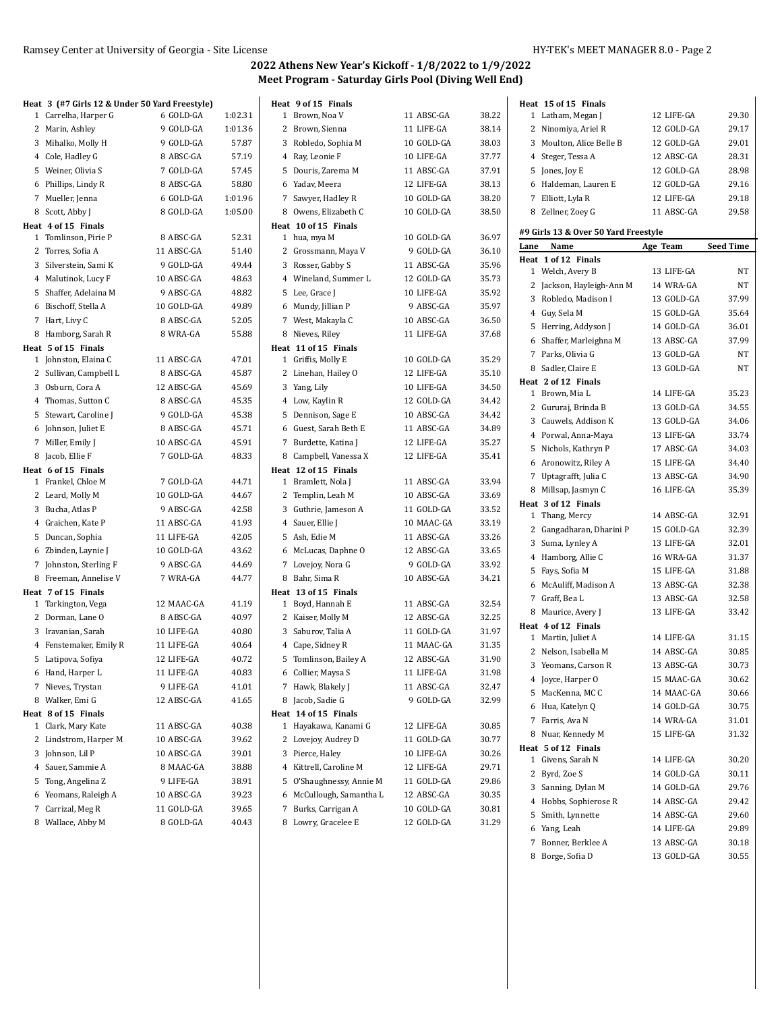| Heat 3 (#7 Girls 12 & Under 50 Yard Freestyle)<br>1 Carrelha, Harper G<br>6 GOLD-GA | 1:02.31 | Heat 9 of 15 Finals<br>1 Brown, Noa V | 11 ABSC-GA | 38.22 |      | Heat 15 of 15 Finals<br>1 Latham, Megan J |  |
|-------------------------------------------------------------------------------------|---------|---------------------------------------|------------|-------|------|-------------------------------------------|--|
| 2 Marin, Ashley<br>9 GOLD-GA                                                        | 1:01.36 | 2 Brown, Sienna                       | 11 LIFE-GA | 38.14 |      | 2 Ninomiya, Ariel R                       |  |
| 3 Mihalko, Molly H<br>9 GOLD-GA                                                     | 57.87   | 3 Robledo, Sophia M                   | 10 GOLD-GA | 38.03 |      | 3 Moulton, Alice Belle B                  |  |
| 4 Cole, Hadley G<br>8 ABSC-GA                                                       | 57.19   | 4 Ray, Leonie F                       | 10 LIFE-GA | 37.77 |      | 4 Steger, Tessa A                         |  |
| 5 Weiner, Olivia S<br>7 GOLD-GA                                                     | 57.45   | 5 Douris, Zarema M                    | 11 ABSC-GA | 37.91 |      | 5 Jones, Joy E                            |  |
| 8 ABSC-GA                                                                           | 58.80   | 6 Yadav, Meera                        | 12 LIFE-GA | 38.13 |      | 6 Haldeman, Lauren E                      |  |
| 6 Phillips, Lindy R                                                                 |         |                                       |            |       |      |                                           |  |
| 7 Mueller, Jenna<br>6 GOLD-GA                                                       | 1:01.96 | 7 Sawyer, Hadley R                    | 10 GOLD-GA | 38.20 |      | 7 Elliott, Lyla R                         |  |
| 8 Scott, Abby J<br>8 GOLD-GA                                                        | 1:05.00 | 8 Owens, Elizabeth C                  | 10 GOLD-GA | 38.50 |      | 8 Zellner, Zoey G                         |  |
| Heat 4 of 15 Finals<br>1 Tomlinson, Pirie P<br>8 ABSC-GA                            | 52.31   | Heat 10 of 15 Finals<br>1 hua, mya M  | 10 GOLD-GA | 36.97 |      | #9 Girls 13 & Over 50 Yard Freestyle      |  |
| 2 Torres, Sofia A<br>11 ABSC-GA                                                     | 51.40   | 2 Grossmann, Maya V                   | 9 GOLD-GA  | 36.10 | Lane | Name                                      |  |
| 3 Silverstein, Sami K<br>9 GOLD-GA                                                  | 49.44   |                                       | 11 ABSC-GA | 35.96 |      | Heat 1 of 12 Finals                       |  |
|                                                                                     |         | 3 Rosser, Gabby S                     |            |       |      | 1 Welch, Avery B                          |  |
| 4 Malutinok, Lucy F<br>10 ABSC-GA                                                   | 48.63   | 4 Wineland, Summer L                  | 12 GOLD-GA | 35.73 |      | 2 Jackson, Hayleigh-Ann M                 |  |
| 5 Shaffer, Adelaina M<br>9 ABSC-GA                                                  | 48.82   | 5 Lee, Grace J                        | 10 LIFE-GA | 35.92 |      | 3 Robledo, Madison I                      |  |
| 6 Bischoff, Stella A<br>10 GOLD-GA                                                  | 49.89   | 6 Mundy, Jillian P                    | 9 ABSC-GA  | 35.97 |      | 4 Guy, Sela M                             |  |
| 7 Hart, Livy C<br>8 ABSC-GA                                                         | 52.05   | 7 West, Makayla C                     | 10 ABSC-GA | 36.50 |      | 5 Herring, Addyson J                      |  |
| 8 Hamborg, Sarah R<br>8 WRA-GA                                                      | 55.88   | 8 Nieves, Riley                       | 11 LIFE-GA | 37.68 |      | 6 Shaffer, Marleighna M                   |  |
| Heat 5 of 15 Finals                                                                 |         | Heat 11 of 15 Finals                  |            |       |      | 7 Parks, Olivia G                         |  |
| 11 ABSC-GA<br>1 Johnston, Elaina C                                                  | 47.01   | 1 Griffis, Molly E                    | 10 GOLD-GA | 35.29 |      | 8 Sadler, Claire E                        |  |
| 8 ABSC-GA<br>2 Sullivan, Campbell L                                                 | 45.87   | 2 Linehan, Hailey O                   | 12 LIFE-GA | 35.10 |      | Heat 2 of 12 Finals                       |  |
| 3 Osburn, Cora A<br>12 ABSC-GA                                                      | 45.69   | 3 Yang, Lily                          | 10 LIFE-GA | 34.50 |      | 1 Brown, Mia L                            |  |
| 4 Thomas, Sutton C<br>8 ABSC-GA                                                     | 45.35   | 4 Low, Kaylin R                       | 12 GOLD-GA | 34.42 |      | 2 Gururaj, Brinda B                       |  |
| 5 Stewart, Caroline J<br>9 GOLD-GA                                                  | 45.38   | 5 Dennison, Sage E                    | 10 ABSC-GA | 34.42 |      | 3 Cauwels, Addison K                      |  |
| 6 Johnson, Juliet E<br>8 ABSC-GA                                                    | 45.71   | 6 Guest, Sarah Beth E                 | 11 ABSC-GA | 34.89 |      | 4 Porwal, Anna-Maya                       |  |
| 7 Miller, Emily J<br>10 ABSC-GA                                                     | 45.91   | 7 Burdette, Katina J                  | 12 LIFE-GA | 35.27 |      | 5 Nichols, Kathryn P                      |  |
| 8 Jacob, Ellie F<br>7 GOLD-GA                                                       | 48.33   | 8 Campbell, Vanessa X                 | 12 LIFE-GA | 35.41 |      | 6 Aronowitz, Riley A                      |  |
| Heat 6 of 15 Finals                                                                 |         | Heat 12 of 15 Finals                  |            |       |      | 7 Uptagrafft, Julia C                     |  |
| 1 Frankel, Chloe M<br>7 GOLD-GA                                                     | 44.71   | 1 Bramlett, Nola J                    | 11 ABSC-GA | 33.94 |      | 8 Millsap, Jasmyn C                       |  |
| 2 Leard, Molly M<br>10 GOLD-GA                                                      | 44.67   | 2 Templin, Leah M                     | 10 ABSC-GA | 33.69 |      | Heat 3 of 12 Finals                       |  |
| 3 Bucha, Atlas P<br>9 ABSC-GA                                                       | 42.58   | 3 Guthrie, Jameson A                  | 11 GOLD-GA | 33.52 |      | 1 Thang, Mercy                            |  |
| 4 Graichen, Kate P<br>11 ABSC-GA                                                    | 41.93   | 4 Sauer, Ellie J                      | 10 MAAC-GA | 33.19 |      | 2 Gangadharan, Dharini P                  |  |
| 5 Duncan, Sophia<br>11 LIFE-GA                                                      | 42.05   | 5 Ash, Edie M                         | 11 ABSC-GA | 33.26 |      | 3 Suma, Lynley A                          |  |
| 10 GOLD-GA<br>6 Zbinden, Laynie J                                                   | 43.62   | 6 McLucas, Daphne O                   | 12 ABSC-GA | 33.65 |      | 4 Hamborg, Allie C                        |  |
| 7 Johnston, Sterling F<br>9 ABSC-GA                                                 | 44.69   | 7 Lovejoy, Nora G                     | 9 GOLD-GA  | 33.92 |      | 5 Fays, Sofia M                           |  |
| 8 Freeman, Annelise V<br>7 WRA-GA                                                   | 44.77   | 8 Bahr, Sima R                        | 10 ABSC-GA | 34.21 |      | 6 McAuliff, Madison A                     |  |
| Heat 7 of 15 Finals                                                                 |         | Heat 13 of 15 Finals                  |            |       |      | 7 Graff, Bea L                            |  |
| 1 Tarkington, Vega<br>12 MAAC-GA                                                    | 41.19   | 1 Boyd, Hannah E                      | 11 ABSC-GA | 32.54 |      | 8 Maurice, Avery J                        |  |
| 2 Dorman, Lane O<br>8 ABSC-GA                                                       | 40.97   | 2 Kaiser, Molly M                     | 12 ABSC-GA | 32.25 |      | Heat 4 of 12 Finals                       |  |
| 3 Iravanian, Sarah<br>10 LIFE-GA                                                    | 40.80   | 3 Saburov, Talia A                    | 11 GOLD-GA | 31.97 |      | 1 Martin, Juliet A                        |  |
| 4 Fenstemaker, Emily R<br>11 LIFE-GA                                                | 40.64   | 4 Cape, Sidney R                      | 11 MAAC-GA | 31.35 |      | 2 Nelson, Isabella M                      |  |
| 5 Latipova, Sofiya<br>12 LIFE-GA                                                    | 40.72   | 5 Tomlinson, Bailey A                 | 12 ABSC-GA | 31.90 |      | 3 Yeomans, Carson R                       |  |
| 11 LIFE-GA<br>6 Hand, Harper L                                                      | 40.83   | 6 Collier, Maysa S                    | 11 LIFE-GA | 31.98 |      | 4 Joyce, Harper O                         |  |
| 9 LIFE-GA<br>7 Nieves, Trystan                                                      | 41.01   | 7 Hawk, Blakely J                     | 11 ABSC-GA | 32.47 |      | 5 MacKenna, MC C                          |  |
| 8 Walker, Emi G<br>12 ABSC-GA                                                       | 41.65   | 8 Jacob, Sadie G                      | 9 GOLD-GA  | 32.99 |      | 6 Hua, Katelyn Q                          |  |
| Heat 8 of 15 Finals                                                                 |         | Heat 14 of 15 Finals                  |            |       |      | 7 Farris, Ava N                           |  |
| 11 ABSC-GA<br>1 Clark, Mary Kate                                                    | 40.38   | 1 Hayakawa, Kanami G                  | 12 LIFE-GA | 30.85 |      | 8 Nuar, Kennedy M                         |  |
| 2 Lindstrom, Harper M<br>10 ABSC-GA                                                 | 39.62   | 2 Lovejoy, Audrey D                   | 11 GOLD-GA | 30.77 |      | Heat 5 of 12 Finals                       |  |
| 3 Johnson, Lil P<br>10 ABSC-GA                                                      | 39.01   | 3 Pierce, Haley                       | 10 LIFE-GA | 30.26 |      | 1 Givens, Sarah N                         |  |
| 4 Sauer, Sammie A<br>8 MAAC-GA                                                      | 38.88   | 4 Kittrell, Caroline M                | 12 LIFE-GA | 29.71 |      | 2 Byrd, Zoe S                             |  |
| 5 Tong, Angelina Z<br>9 LIFE-GA                                                     | 38.91   | 5 O'Shaughnessy, Annie M              | 11 GOLD-GA | 29.86 |      | 3 Sanning, Dylan M                        |  |
| 6 Yeomans, Raleigh A<br>10 ABSC-GA                                                  | 39.23   | 6 McCullough, Samantha L              | 12 ABSC-GA | 30.35 |      |                                           |  |
| 7 Carrizal, Meg R<br>11 GOLD-GA                                                     | 39.65   | 7 Burks, Carrigan A                   | 10 GOLD-GA | 30.81 |      | 4 Hobbs, Sophierose R                     |  |
| 8 Wallace, Abby M<br>8 GOLD-GA                                                      | 40.43   | 8 Lowry, Gracelee E                   | 12 GOLD-GA | 31.29 |      | 5 Smith, Lynnette                         |  |
|                                                                                     |         |                                       |            |       |      | 6 Yang, Leah                              |  |
|                                                                                     |         |                                       |            |       |      | 7 Bonner, Berklee A                       |  |

Borge, Sofia D 13 GOLD-GA 30.55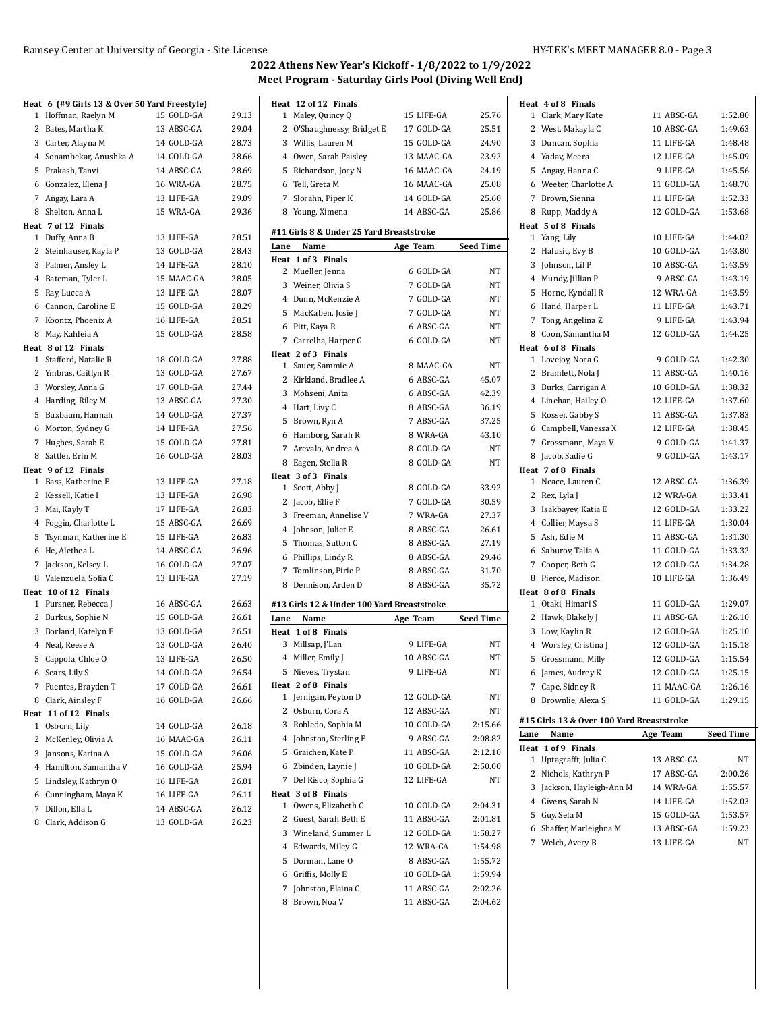$\overline{1}$ 

|              | Heat 6 (#9 Girls 13 & Over 50 Yard Freestyle) |            |       |
|--------------|-----------------------------------------------|------------|-------|
| 1            | Hoffman, Raelyn M                             | 15 GOLD-GA | 29.13 |
|              | 2 Bates, Martha K                             | 13 ABSC-GA | 29.04 |
|              | 3 Carter, Alayna M                            | 14 GOLD-GA | 28.73 |
|              | 4 Sonambekar, Anushka A                       | 14 GOLD-GA | 28.66 |
|              | 5 Prakash, Tanvi                              | 14 ABSC-GA | 28.69 |
|              | 6 Gonzalez, Elena J                           | 16 WRA-GA  | 28.75 |
|              | 7 Angay, Lara A                               | 13 LIFE-GA | 29.09 |
| 8            | Shelton, Anna L                               | 15 WRA-GA  | 29.36 |
|              | Heat 7 of 12 Finals                           |            |       |
|              | 1 Duffy, Anna B                               | 13 LIFE-GA | 28.51 |
| 2            | Steinhauser, Kayla P                          | 13 GOLD-GA | 28.43 |
| 3            | Palmer, Ansley L                              | 14 LIFE-GA | 28.10 |
|              | 4 Bateman, Tyler L                            | 15 MAAC-GA | 28.05 |
| 5            | Ray, Lucca A                                  | 13 LIFE-GA | 28.07 |
|              | 6 Cannon, Caroline E                          | 15 GOLD-GA | 28.29 |
|              | 7 Koontz, Phoenix A                           | 16 LIFE-GA | 28.51 |
| 8            | May, Kahleia A                                | 15 GOLD-GA | 28.58 |
|              | Heat 8 of 12 Finals                           |            |       |
| $\mathbf{1}$ | Stafford, Natalie R                           | 18 GOLD-GA | 27.88 |
|              | 2 Ymbras, Caitlyn R                           | 13 GOLD-GA | 27.67 |
|              | 3 Worsley, Anna G                             | 17 GOLD-GA | 27.44 |
|              | 4 Harding, Riley M                            | 13 ABSC-GA | 27.30 |
| 5            | Buxbaum, Hannah                               | 14 GOLD-GA | 27.37 |
| 6            | Morton, Sydney G                              | 14 LIFE-GA | 27.56 |
| 7            | Hughes, Sarah E                               | 15 GOLD-GA | 27.81 |
| 8            | Sattler, Erin M                               | 16 GOLD-GA | 28.03 |
|              | Heat 9 of 12 Finals                           |            |       |
|              | 1 Bass, Katherine E                           | 13 LIFE-GA | 27.18 |
| 2            | Kessell, Katie I                              | 13 LIFE-GA | 26.98 |
|              | 3 Mai, Kayly T                                | 17 LIFE-GA | 26.83 |
| 4            | Foggin, Charlotte L                           | 15 ABSC-GA | 26.69 |
| 5            | Tsynman, Katherine E                          | 15 LIFE-GA | 26.83 |
| 6            | He, Alethea L                                 | 14 ABSC-GA | 26.96 |
| 7            | Jackson, Kelsey L                             | 16 GOLD-GA | 27.07 |
|              | 8 Valenzuela, Sofia C                         | 13 LIFE-GA | 27.19 |
|              | Heat 10 of 12 Finals                          |            |       |
|              | 1 Pursner, Rebecca J                          | 16 ABSC-GA | 26.63 |
|              | 2 Burkus, Sophie N                            | 15 GOLD-GA | 26.61 |
|              | 3 Borland, Katelyn E                          | 13 GOLD-GA | 26.51 |
|              | 4 Neal, Reese A                               | 13 GOLD-GA | 26.40 |
|              | 5 Cappola, Chloe O                            | 13 LIFE-GA | 26.50 |
| 6            | Sears, Lily S                                 | 14 GOLD-GA | 26.54 |
|              | 7 Fuentes, Brayden T                          | 17 GOLD-GA | 26.61 |
|              | 8 Clark, Ainsley F                            | 16 GOLD-GA | 26.66 |
|              | Heat 11 of 12 Finals                          |            |       |
| 1            | Osborn, Lily                                  | 14 GOLD-GA | 26.18 |
| 2            | McKenley, Olivia A                            | 16 MAAC-GA | 26.11 |
| 3            | Jansons, Karina A                             | 15 GOLD-GA | 26.06 |
| 4            | Hamilton, Samantha V                          | 16 GOLD-GA | 25.94 |
| 5            | Lindsley, Kathryn O                           | 16 LIFE-GA | 26.01 |
| 6            | Cunningham, Maya K                            | 16 LIFE-GA | 26.11 |
| 7            | Dillon, Ella L                                | 14 ABSC-GA | 26.12 |
|              | 8 Clark, Addison G                            | 13 GOLD-GA | 26.23 |
|              |                                               |            |       |

|        | Heat 12 of 12 Finals                       |                          |                    |
|--------|--------------------------------------------|--------------------------|--------------------|
| 1      | Maley, Quincy Q                            | 15 LIFE-GA               | 25.76              |
|        | 2 O'Shaughnessy, Bridget E                 | 17 GOLD-GA               | 25.51              |
|        | 3 Willis, Lauren M                         | 15 GOLD-GA               | 24.90              |
|        | 4 Owen, Sarah Paisley                      | 13 MAAC-GA               | 23.92              |
|        | 5 Richardson, Jory N                       | 16 MAAC-GA               | 24.19              |
|        | 6 Tell, Greta M                            | 16 MAAC-GA               | 25.08              |
|        |                                            |                          |                    |
| 7      | Slorahn, Piper K                           | 14 GOLD-GA               | 25.60              |
| 8      | Young, Ximena                              | 14 ABSC-GA               | 25.86              |
|        | #11 Girls 8 & Under 25 Yard Breaststroke   |                          |                    |
| Lane   | Name                                       | Age Team                 | <b>Seed Time</b>   |
| Heat   | 1 of 3 Finals                              |                          |                    |
|        | 2 Mueller, Jenna                           | 6 GOLD-GA                | NΤ                 |
|        | 3 Weiner, Olivia S                         | 7 GOLD-GA                | NT                 |
|        | 4 Dunn, McKenzie A                         | 7 GOLD-GA                | NΤ                 |
| 5      | MacKaben, Josie J                          | 7 GOLD-GA                | NΤ                 |
|        | 6 Pitt, Kaya R                             | 6 ABSC-GA                | NΤ                 |
|        | 7 Carrelha, Harper G                       | 6 GOLD-GA                | NΤ                 |
|        | Heat 2 of 3 Finals                         |                          |                    |
|        | 1 Sauer, Sammie A                          | 8 MAAC-GA                | <b>NT</b>          |
|        | 2 Kirkland, Bradlee A                      | 6 ABSC-GA                | 45.07              |
|        | 3 Mohseni, Anita                           | 6 ABSC-GA                | 42.39              |
|        | 4 Hart, Livy C                             | 8 ABSC-GA                | 36.19              |
| 5      | Brown, Ryn A                               | 7 ABSC-GA                | 37.25              |
|        | 6 Hamborg, Sarah R                         | 8 WRA-GA                 | 43.10              |
|        | 7 Arevalo, Andrea A                        | 8 GOLD-GA                | NT                 |
|        |                                            | 8 GOLD-GA                | NT                 |
|        | 8 Eagen, Stella R<br>Heat 3 of 3 Finals    |                          |                    |
|        | 1 Scott, Abby J                            | 8 GOLD-GA                | 33.92              |
|        | 2 Jacob, Ellie F                           | 7 GOLD-GA                | 30.59              |
|        | 3 Freeman, Annelise V                      | 7 WRA-GA                 | 27.37              |
|        |                                            |                          |                    |
|        |                                            |                          |                    |
|        | 4 Johnson, Juliet E                        | 8 ABSC-GA                | 26.61              |
| 5      | Thomas, Sutton C                           | 8 ABSC-GA                | 27.19              |
| 6      | Phillips, Lindy R                          | 8 ABSC-GA                | 29.46              |
| 7      | Tomlinson, Pirie P                         | 8 ABSC-GA                | 31.70              |
|        | 8 Dennison, Arden D                        | 8 ABSC-GA                | 35.72              |
|        | #13 Girls 12 & Under 100 Yard Breaststroke |                          |                    |
| Lane   | Name                                       | Age Team                 | <b>Seed Time</b>   |
|        | Heat 1 of 8 Finals                         |                          |                    |
|        | 3 Millsap, J'Lan                           | 9 LIFE-GA                | NΤ                 |
| 4      | Miller, Emily J                            | 10 ABSC-GA               | NΤ                 |
|        | 5 Nieves, Trystan                          | 9 LIFE-GA                | NT                 |
|        | Heat 2 of 8 Finals                         |                          |                    |
| 1      | Jernigan, Peyton D                         | 12 GOLD-GA               | NΤ                 |
|        | 2 Osburn, Cora A                           | 12 ABSC-GA               | NΤ                 |
|        | 3 Robledo, Sophia M                        | 10 GOLD-GA               | 2:15.66            |
|        | 4 Johnston, Sterling F                     | 9 ABSC-GA                | 2:08.82            |
|        | 5 Graichen, Kate P                         | 11 ABSC-GA               | 2:12.10            |
|        | 6 Zbinden, Laynie J                        | 10 GOLD-GA               | 2:50.00            |
| 7      | Del Risco, Sophia G                        | 12 LIFE-GA               | NΤ                 |
|        | Heat 3 of 8 Finals                         |                          |                    |
| 1      | Owens, Elizabeth C                         | 10 GOLD-GA               | 2:04.31            |
| 2      | Guest, Sarah Beth E                        | 11 ABSC-GA               | 2:01.81            |
| 3      | Wineland, Summer L                         | 12 GOLD-GA               | 1:58.27            |
|        | 4 Edwards, Miley G                         | 12 WRA-GA                | 1:54.98            |
| 5      |                                            | 8 ABSC-GA                |                    |
|        | Dorman, Lane O                             |                          | 1:55.72            |
| 6      | Griffis, Molly E                           | 10 GOLD-GA               | 1:59.94            |
| 7<br>8 | Johnston, Elaina C<br>Brown, Noa V         | 11 ABSC-GA<br>11 ABSC-GA | 2:02.26<br>2:04.62 |

| Heat 4 of 8 Finals                        |            |           |
|-------------------------------------------|------------|-----------|
| Clark, Mary Kate<br>1                     | 11 ABSC-GA | 1:52.80   |
| 2<br>West, Makayla C                      | 10 ABSC-GA | 1:49.63   |
| Duncan, Sophia<br>3                       | 11 LIFE-GA | 1:48.48   |
| 4<br>Yadav, Meera                         | 12 LIFE-GA | 1:45.09   |
| 5<br>Angay, Hanna C                       | 9 LIFE-GA  | 1:45.56   |
| Weeter, Charlotte A<br>6                  | 11 GOLD-GA | 1:48.70   |
| Brown, Sienna<br>7                        | 11 LIFE-GA | 1:52.33   |
| Rupp, Maddy A<br>8                        | 12 GOLD-GA | 1:53.68   |
| Heat 5 of 8 Finals                        |            |           |
| Yang, Lily<br>1                           | 10 LIFE-GA | 1:44.02   |
| 2<br>Halusic, Evy B                       | 10 GOLD-GA | 1:43.80   |
| 3<br>Johnson, Lil P                       | 10 ABSC-GA | 1:43.59   |
| 4<br>Mundy, Jillian P                     | 9 ABSC-GA  | 1:43.19   |
| 5<br>Horne, Kyndall R                     | 12 WRA-GA  | 1:43.59   |
| 6<br>Hand, Harper L                       | 11 LIFE-GA | 1:43.71   |
| 7<br>Tong, Angelina Z                     | 9 LIFE-GA  | 1:43.94   |
| 8<br>Coon, Samantha M                     | 12 GOLD-GA | 1:44.25   |
| Heat 6 of 8 Finals                        |            |           |
| Lovejoy, Nora G<br>1                      | 9 GOLD-GA  | 1:42.30   |
| 2<br>Bramlett, Nola J                     | 11 ABSC-GA | 1:40.16   |
| 3<br>Burks, Carrigan A                    | 10 GOLD-GA | 1:38.32   |
| 4<br>Linehan, Hailey O                    | 12 LIFE-GA | 1:37.60   |
| Rosser, Gabby S<br>5                      | 11 ABSC-GA | 1:37.83   |
| Campbell, Vanessa X<br>6                  | 12 LIFE-GA | 1:38.45   |
| 7<br>Grossmann, Maya V                    | 9 GOLD-GA  | 1:41.37   |
| Jacob, Sadie G<br>8                       | 9 GOLD-GA  | 1:43.17   |
| Heat 7 of 8 Finals                        |            |           |
| Neace, Lauren C<br>1                      | 12 ABSC-GA | 1:36.39   |
|                                           |            | 1:33.41   |
| 2<br>Rex, Lyla J                          | 12 WRA-GA  |           |
| 3<br>Isakbayev, Katia E                   | 12 GOLD-GA | 1:33.22   |
| Collier, Maysa S<br>4                     | 11 LIFE-GA | 1:30.04   |
| 5<br>Ash, Edie M                          | 11 ABSC-GA | 1:31.30   |
| 6<br>Saburov, Talia A                     | 11 GOLD-GA | 1:33.32   |
| Cooper, Beth G<br>7                       | 12 GOLD-GA | 1:34.28   |
| Pierce, Madison<br>8                      | 10 LIFE-GA | 1:36.49   |
| Heat 8 of 8 Finals                        |            |           |
| Otaki, Himari S<br>1                      | 11 GOLD-GA | 1:29.07   |
| 2<br>Hawk, Blakely J                      | 11 ABSC-GA | 1:26.10   |
| 3<br>Low, Kaylin R                        | 12 GOLD-GA | 1:25.10   |
| Worsley, Cristina J<br>4                  | 12 GOLD-GA | 1:15.18   |
| 5<br>Grossmann, Milly                     | 12 GOLD-GA | 1:15.54   |
| James, Audrey K<br>6                      | 12 GOLD-GA | 1:25.15   |
| 7<br>Cape, Sidney R                       | 11 MAAC-GA | 1:26.16   |
| Brownlie, Alexa S<br>8                    | 11 GOLD-GA | 1:29.15   |
| #15 Girls 13 & Over 100 Yard Breaststroke |            |           |
| Name<br>Lane                              | Age Team   | Seed Time |
| Heat 1 of 9 Finals                        |            |           |
| 1<br>Uptagrafft, Julia C                  | 13 ABSC-GA | NΤ        |
| 2<br>Nichols, Kathryn P                   | 17 ABSC-GA | 2:00.26   |
| Jackson, Hayleigh-Ann M<br>3              | 14 WRA-GA  | 1:55.57   |
| Givens, Sarah N<br>4                      | 14 LIFE-GA | 1:52.03   |
| Guy, Sela M<br>5                          | 15 GOLD-GA | 1:53.57   |
| 6<br>Shaffer, Marleighna M                | 13 ABSC-GA | 1:59.23   |
| 7 Welch, Avery B                          | 13 LIFE-GA | NΤ        |
|                                           |            |           |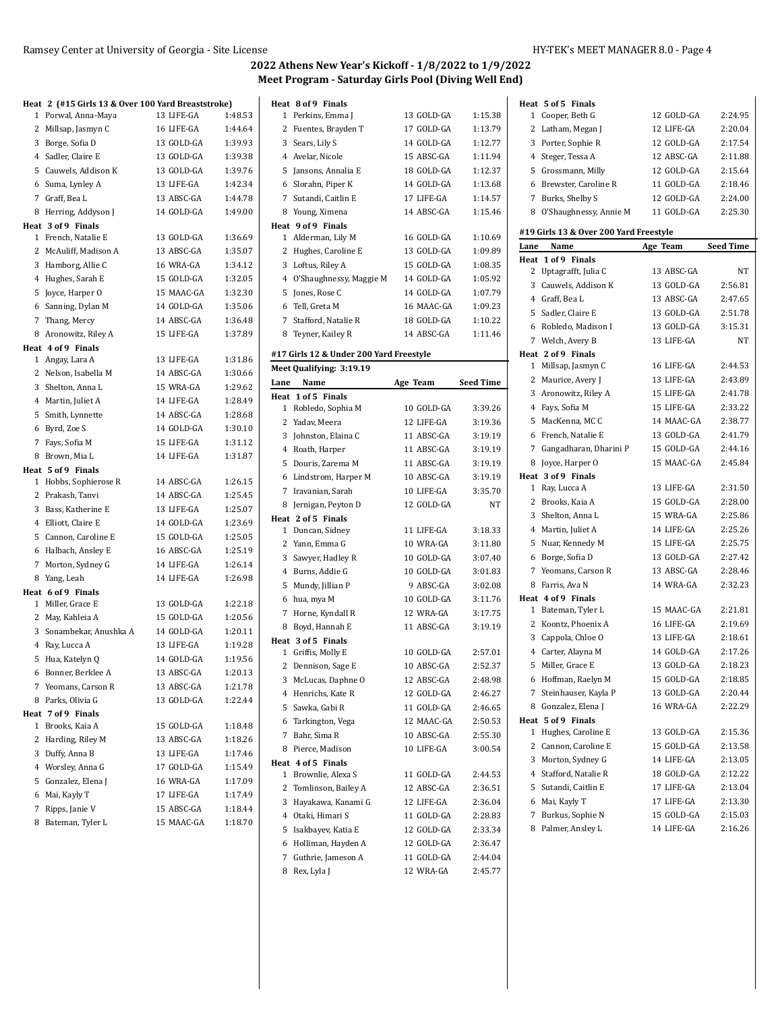|   | Heat 2 (#15 Girls 13 & Over 100 Yard Breaststroke) |            |         |
|---|----------------------------------------------------|------------|---------|
|   | 1 Porwal, Anna-Maya                                | 13 LIFE-GA | 1:48.53 |
|   | 2 Millsap, Jasmyn C                                | 16 LIFE-GA | 1:44.64 |
|   | 3 Borge, Sofia D                                   | 13 GOLD-GA | 1:39.93 |
|   | 4 Sadler, Claire E                                 | 13 GOLD-GA | 1:39.38 |
|   | 5 Cauwels, Addison K                               | 13 GOLD-GA | 1:39.76 |
|   | 6 Suma, Lynley A                                   | 13 LIFE-GA | 1:42.34 |
|   | 7 Graff, Bea L                                     | 13 ABSC-GA | 1:44.78 |
| 8 | Herring, Addyson J                                 | 14 GOLD-GA | 1:49.00 |
|   | Heat 3 of 9 Finals                                 |            |         |
|   | 1 French, Natalie E                                | 13 GOLD-GA | 1:36.69 |
|   | 2 McAuliff, Madison A                              | 13 ABSC-GA | 1:35.07 |
|   | 3 Hamborg, Allie C                                 | 16 WRA-GA  | 1:34.12 |
|   | 4 Hughes, Sarah E                                  | 15 GOLD-GA | 1:32.05 |
|   | 5 Joyce, Harper O                                  | 15 MAAC-GA | 1:32.30 |
|   | 6 Sanning, Dylan M                                 | 14 GOLD-GA | 1:35.06 |
|   | 7 Thang, Mercy                                     | 14 ABSC-GA | 1:36.48 |
|   | 8 Aronowitz, Riley A                               | 15 LIFE-GA | 1:37.89 |
|   | Heat 4 of 9 Finals                                 |            |         |
|   | 1 Angay, Lara A                                    | 13 LIFE-GA | 1:31.86 |
|   | 2 Nelson, Isabella M                               | 14 ABSC-GA | 1:30.66 |
|   | 3 Shelton, Anna L                                  | 15 WRA-GA  | 1:29.62 |
|   | 4 Martin, Juliet A                                 | 14 LIFE-GA | 1:28.49 |
|   | 5 Smith, Lynnette                                  | 14 ABSC-GA | 1:28.68 |
|   | 6 Byrd, Zoe S                                      | 14 GOLD-GA | 1:30.10 |
|   | 7 Fays, Sofia M                                    | 15 LIFE-GA | 1:31.12 |
|   | 8 Brown, Mia L                                     | 14 LIFE-GA | 1:31.87 |
|   | Heat 5 of 9 Finals                                 |            |         |
|   | 1 Hobbs, Sophierose R                              | 14 ABSC-GA | 1:26.15 |
|   | 2 Prakash, Tanvi                                   | 14 ABSC-GA | 1:25.45 |
|   | 3 Bass, Katherine E                                | 13 LIFE-GA | 1:25.07 |
|   | 4 Elliott, Claire E                                | 14 GOLD-GA | 1:23.69 |
|   | 5 Cannon, Caroline E                               | 15 GOLD-GA | 1:25.05 |
|   | 6 Halbach, Ansley E                                | 16 ABSC-GA | 1:25.19 |
|   | 7 Morton, Sydney G                                 | 14 LIFE-GA | 1:26.14 |
|   | 8 Yang, Leah                                       | 14 LIFE-GA | 1:26.98 |
|   | Heat 6 of 9 Finals                                 |            |         |
|   | 1 Miller, Grace E                                  | 13 GOLD-GA | 1:22.18 |
|   | 2 May, Kahleia A                                   | 15 GOLD-GA | 1:20.56 |
|   | 3 Sonambekar, Anushka A                            | 14 GOLD-GA | 1:20.11 |
|   | 4 Ray, Lucca A                                     | 13 LIFE-GA | 1:19.28 |
|   | 5 Hua, Katelyn Q                                   | 14 GOLD-GA | 1:19.56 |
|   | 6 Bonner, Berklee A                                | 13 ABSC-GA | 1:20.13 |
|   | 7 Yeomans, Carson R                                | 13 ABSC-GA | 1:21.78 |
|   | 8 Parks, Olivia G                                  | 13 GOLD-GA | 1:22.44 |
|   | Heat 7 of 9 Finals                                 |            |         |
| 1 | Brooks, Kaia A                                     | 15 GOLD-GA | 1:18.48 |
|   | 2 Harding, Riley M                                 | 13 ABSC-GA | 1:18.26 |
|   | 3 Duffy, Anna B                                    | 13 LIFE-GA | 1:17.46 |
|   | 4 Worsley, Anna G                                  | 17 GOLD-GA | 1:15.49 |
|   | 5 Gonzalez, Elena J                                | 16 WRA-GA  | 1:17.09 |
|   | 6 Mai, Kayly T                                     | 17 LIFE-GA | 1:17.49 |
| 7 | Ripps, Janie V                                     | 15 ABSC-GA | 1:18.44 |
|   | 8 Bateman, Tyler L                                 | 15 MAAC-GA | 1:18.70 |
|   |                                                    |            |         |

|              | Heat 8 of 9 Finals        |            |         |
|--------------|---------------------------|------------|---------|
| $\mathbf{1}$ | Perkins, Emma J           | 13 GOLD-GA | 1:15.38 |
|              | 2 Fuentes, Brayden T      | 17 GOLD-GA | 1:13.79 |
|              | 3 Sears, Lily S           | 14 GOLD-GA | 1:12.77 |
|              | 4 Avelar, Nicole          | 15 ABSC-GA | 1:11.94 |
|              | 5 Jansons, Annalia E      | 18 GOLD-GA | 1:12.37 |
|              | 6 Slorahn, Piper K        | 14 GOLD-GA | 1:13.68 |
|              | 7 Sutandi, Caitlin E      | 17 LIFE-GA | 1:14.57 |
|              | 8 Young, Ximena           | 14 ABSC-GA | 1:15.46 |
|              | Heat 9 of 9 Finals        |            |         |
|              | 1 Alderman, Lily M        | 16 GOLD-GA | 1:10.69 |
|              | 2 Hughes, Caroline E      | 13 GOLD-GA | 1:09.89 |
|              | 3 Loftus, Riley A         | 15 GOLD-GA | 1:08.35 |
|              | 4 O'Shaughnessy, Maggie M | 14 GOLD-GA | 1:05.92 |
|              | 5 Jones, Rose C           | 14 GOLD-GA | 1:07.79 |
|              | 6 Tell, Greta M           | 16 MAAC-GA | 1:09.23 |
|              | 7 Stafford, Natalie R     | 18 GOLD-GA | 1:10.22 |
|              | 8 Teyner, Kailey R        | 14 ABSC-GA | 1:11.46 |

#### **#17 Girls 12 & Under 200 Yard Freestyle**

|      | Meet Qualifying: 3:19.19 |            |                  |
|------|--------------------------|------------|------------------|
| Lane | Name                     | Age Team   | <b>Seed Time</b> |
|      | Heat 1 of 5 Finals       |            |                  |
|      | 1 Robledo, Sophia M      | 10 GOLD-GA | 3:39.26          |
|      | 2 Yadav, Meera           | 12 LIFE-GA | 3:19.36          |
|      | 3 Johnston, Elaina C     | 11 ABSC-GA | 3:19.19          |
|      | 4 Roath, Harper          | 11 ABSC-GA | 3:19.19          |
|      | 5 Douris, Zarema M       | 11 ABSC-GA | 3:19.19          |
|      | 6 Lindstrom, Harper M    | 10 ABSC-GA | 3:19.19          |
|      | 7 Iravanian, Sarah       | 10 LIFE-GA | 3:35.70          |
| 8    | Jernigan, Peyton D       | 12 GOLD-GA | <b>NT</b>        |
|      | Heat 2 of 5 Finals       |            |                  |
|      | 1 Duncan, Sidney         | 11 LIFE-GA | 3:18.33          |
|      | 2 Yann, Emma G           | 10 WRA-GA  | 3:11.80          |
|      | 3 Sawyer, Hadley R       | 10 GOLD-GA | 3:07.40          |
|      | 4 Burns, Addie G         | 10 GOLD-GA | 3:01.83          |
|      | 5 Mundy, Jillian P       | 9 ABSC-GA  | 3:02.08          |
|      | 6 hua, mya M             | 10 GOLD-GA | 3:11.76          |
|      | 7 Horne, Kyndall R       | 12 WRA-GA  | 3:17.75          |
| 8    | Boyd, Hannah E           | 11 ABSC-GA | 3:19.19          |
|      | Heat 3 of 5 Finals       |            |                  |
|      | 1 Griffis, Molly E       | 10 GOLD-GA | 2:57.01          |
|      | 2 Dennison, Sage E       | 10 ABSC-GA | 2:52.37          |
| 3    | McLucas, Daphne O        | 12 ABSC-GA | 2:48.98          |
|      | 4 Henrichs, Kate R       | 12 GOLD-GA | 2:46.27          |
|      | 5 Sawka, Gabi R          | 11 GOLD-GA | 2:46.65          |
|      | 6 Tarkington, Vega       | 12 MAAC-GA | 2:50.53          |
| 7    | Bahr, Sima R             | 10 ABSC-GA | 2:55.30          |
| 8    | Pierce, Madison          | 10 LIFE-GA | 3:00.54          |
|      | Heat 4 of 5 Finals       |            |                  |
|      | 1 Brownlie, Alexa S      | 11 GOLD-GA | 2:44.53          |
|      | 2 Tomlinson, Bailey A    | 12 ABSC-GA | 2:36.51          |
| 3    | Hayakawa, Kanami G       | 12 LIFE-GA | 2:36.04          |
|      | 4 Otaki, Himari S        | 11 GOLD-GA | 2:28.83          |
| 5    | Isakbayev, Katia E       | 12 GOLD-GA | 2.33.34          |
| 6    | Holliman, Hayden A       | 12 GOLD-GA | 2:36.47          |
| 7    | Guthrie, Jameson A       | 11 GOLD-GA | 2:44.04          |
| 8    | Rex, Lyla J              | 12 WRA-GA  | 2:45.77          |
|      |                          |            |                  |

| Heat 5 of 5 Finals                     |            |                  |
|----------------------------------------|------------|------------------|
| 1 Cooper, Beth G                       | 12 GOLD-GA | 2:24.95          |
| 2<br>Latham, Megan J                   | 12 LIFE-GA | 2:20.04          |
| 3 Porter, Sophie R                     | 12 GOLD-GA | 2:17.54          |
| 4 Steger, Tessa A                      | 12 ABSC-GA | 2:11.88          |
| 5<br>Grossmann, Milly                  | 12 GOLD-GA | 2:15.64          |
| Brewster, Caroline R<br>6              | 11 GOLD-GA | 2:18.46          |
| 7<br>Burks, Shelby S                   | 12 GOLD-GA | 2:24.00          |
| 8 O'Shaughnessy, Annie M               | 11 GOLD-GA | 2:25.30          |
|                                        |            |                  |
| #19 Girls 13 & Over 200 Yard Freestyle |            |                  |
| Name<br>Lane                           | Age Team   | <b>Seed Time</b> |
| Heat 1 of 9 Finals                     |            |                  |
| 2<br>Uptagrafft, Julia C               | 13 ABSC-GA | NΤ               |
| Cauwels, Addison K<br>3                | 13 GOLD-GA | 2:56.81          |
| 4 Graff, Bea L                         | 13 ABSC-GA | 2:47.65          |
| 5 Sadler, Claire E                     | 13 GOLD-GA | 2:51.78          |
| Robledo, Madison I<br>6                | 13 GOLD-GA | 3:15.31          |
| 7 Welch, Avery B                       | 13 LIFE-GA | NT               |
| Heat 2 of 9 Finals                     |            |                  |
| Millsap, Jasmyn C<br>1                 | 16 LIFE-GA | 2:44.53          |
| 2<br>Maurice, Avery J                  | 13 LIFE-GA | 2:43.89          |
| 3<br>Aronowitz, Riley A                | 15 LIFE-GA | 2:41.78          |
| 4 Fays, Sofia M                        | 15 LIFE-GA | 2:33.22          |
| 5<br>MacKenna, MC C                    | 14 MAAC-GA | 2:38.77          |
| 6 French, Natalie E                    | 13 GOLD-GA | 2:41.79          |
| 7<br>Gangadharan, Dharini P            | 15 GOLD-GA | 2:44.16          |
| 8<br>Joyce, Harper O                   | 15 MAAC-GA | 2:45.84          |
| Heat 3 of 9 Finals                     |            |                  |
| Ray, Lucca A<br>1                      | 13 LIFE-GA | 2:31.50          |
| 2<br>Brooks, Kaia A                    | 15 GOLD-GA | 2:28.00          |
| Shelton, Anna L<br>3                   | 15 WRA-GA  | 2:25.86          |
| 4 Martin, Juliet A                     | 14 LIFE-GA | 2:25.26          |
| 5<br>Nuar, Kennedy M                   | 15 LIFE-GA | 2:25.75          |
| Borge, Sofia D<br>6                    | 13 GOLD-GA | 2:27.42          |
| Yeomans, Carson R<br>7                 | 13 ABSC-GA | 2:28.46          |
| Farris, Ava N<br>8                     | 14 WRA-GA  | 2:32.23          |
| Heat 4 of 9 Finals                     |            |                  |
| 1 Bateman, Tyler L                     | 15 MAAC-GA | 2:21.81          |
| 2<br>Koontz, Phoenix A                 | 16 LIFE-GA | 2:19.69          |
| 3<br>Cappola, Chloe O                  | 13 LIFE-GA | 2:18.61          |
| 4 Carter, Alayna M                     | 14 GOLD-GA | 2:17.26          |
| 5<br>Miller, Grace E                   | 13 GOLD-GA | 2:18.23          |
| Hoffman, Raelyn M<br>6                 | 15 GOLD-GA | 2:18.85          |
| 7<br>Steinhauser, Kayla P              | 13 GOLD-GA | 2:20.44          |
| Gonzalez, Elena J<br>8                 |            | 2:22.29          |
|                                        | 16 WRA-GA  |                  |
| Heat 5 of 9 Finals                     |            |                  |
| Hughes, Caroline E<br>1                | 13 GOLD-GA | 2:15.36          |
| 2<br>Cannon, Caroline E                | 15 GOLD-GA | 2:13.58          |
| Morton, Sydney G<br>3                  | 14 LIFE-GA | 2:13.05          |
| Stafford, Natalie R<br>4               | 18 GOLD-GA | 2:12.22          |
| 5<br>Sutandi. Caitlin E                | 17 LIFE-GA | 2:13.04          |
| 6<br>Mai, Kayly T                      | 17 LIFE-GA | 2:13.30          |
| Burkus, Sophie N<br>7                  | 15 GOLD-GA | 2:15.03          |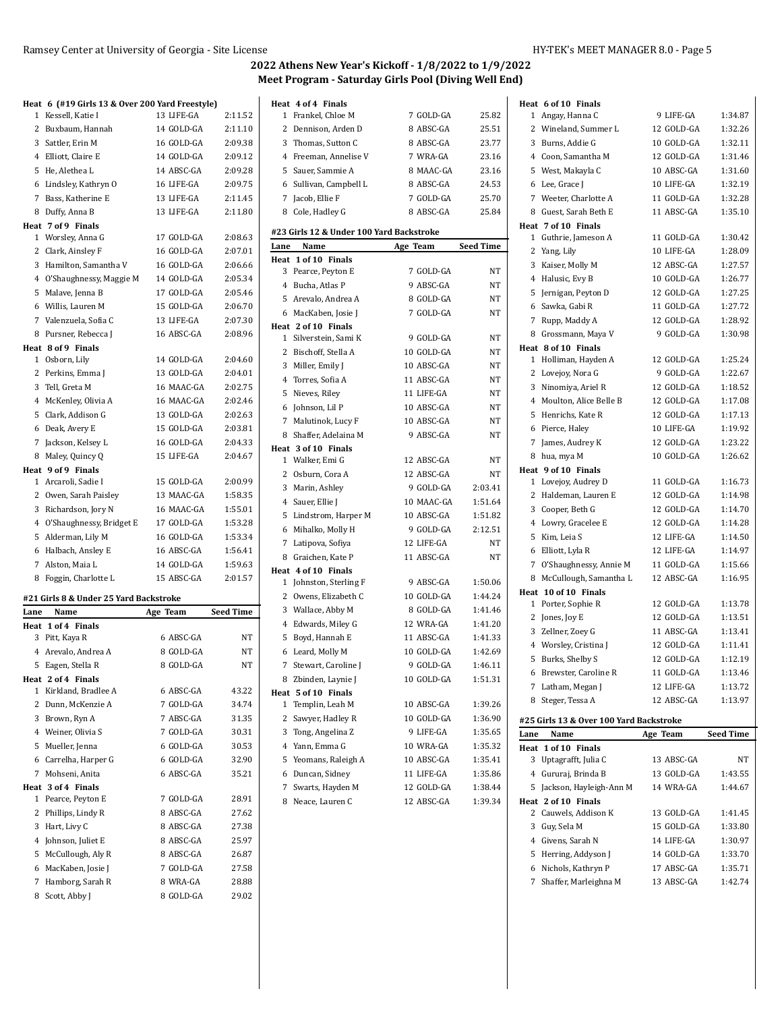|              | Heat 6 (#19 Girls 13 & Over 200 Yard Freestyle) |                       |                  |
|--------------|-------------------------------------------------|-----------------------|------------------|
| 1            | Kessell, Katie I                                | 13 LIFE-GA            | 2:11.52          |
| 2            | Buxbaum, Hannah                                 | 14 GOLD-GA            | 2:11.10          |
|              | 3 Sattler, Erin M                               | 16 GOLD-GA            | 2:09.38          |
|              | 4 Elliott, Claire E                             | 14 GOLD-GA            | 2:09.12          |
|              | 5 He, Alethea L                                 | 14 ABSC-GA            | 2:09.28          |
|              | 6 Lindsley, Kathryn O                           | 16 LIFE-GA            | 2:09.75          |
|              | 7 Bass, Katherine E                             | 13 LIFE-GA            | 2:11.45          |
| 8            | Duffy, Anna B                                   | 13 LIFE-GA            | 2:11.80          |
|              | Heat 7 of 9 Finals                              |                       |                  |
| 1            | Worsley, Anna G                                 | 17 GOLD-GA            | 2:08.63          |
|              | 2 Clark, Ainsley F                              | 16 GOLD-GA            | 2:07.01          |
|              | 3 Hamilton, Samantha V                          | 16 GOLD-GA            | 2:06.66          |
|              | 4 O'Shaughnessy, Maggie M                       | 14 GOLD-GA            | 2:05.34          |
|              | 5 Malave, Jenna B                               | 17 GOLD-GA            | 2:05.46          |
|              | 6 Willis, Lauren M                              | 15 GOLD-GA            | 2:06.70          |
|              | 7 Valenzuela, Sofia C                           | 13 LIFE-GA            | 2:07.30          |
|              | 8 Pursner, Rebecca J                            | 16 ABSC-GA            | 2:08.96          |
|              | Heat 8 of 9 Finals                              |                       |                  |
| 1            | Osborn, Lily                                    | 14 GOLD-GA            | 2:04.60          |
| 2            | Perkins, Emma J                                 | 13 GOLD-GA            | 2:04.01          |
|              | 3 Tell, Greta M                                 | 16 MAAC-GA            | 2:02.75          |
|              | 4 McKenley, Olivia A                            | 16 MAAC-GA            | 2:02.46          |
|              | 5 Clark, Addison G                              | 13 GOLD-GA            | 2:02.63          |
|              | 6 Deak, Avery E                                 | 15 GOLD-GA            | 2:03.81          |
| 7            | Jackson, Kelsey L                               | 16 GOLD-GA            | 2:04.33          |
| 8            | Maley, Quincy Q                                 | 15 LIFE-GA            | 2:04.67          |
|              | Heat 9 of 9 Finals                              |                       |                  |
| $\mathbf{1}$ | Arcaroli, Sadie I                               | 15 GOLD-GA            | 2:00.99          |
|              | 2 Owen, Sarah Paisley                           | 13 MAAC-GA            | 1:58.35          |
|              | 3 Richardson, Jory N                            | 16 MAAC-GA            | 1:55.01          |
|              | 4 O'Shaughnessy, Bridget E                      |                       |                  |
|              |                                                 | 17 GOLD-GA            | 1:53.28          |
|              |                                                 | 16 GOLD-GA            | 1:53.34          |
|              | 5 Alderman, Lily M                              | 16 ABSC-GA            | 1:56.41          |
| 7            | 6 Halbach, Ansley E<br>Alston, Maia L           | 14 GOLD-GA            | 1:59.63          |
|              |                                                 | 15 ABSC-GA            | 2:01.57          |
|              | 8 Foggin, Charlotte L                           |                       |                  |
|              | #21 Girls 8 & Under 25 Yard Backstroke          |                       |                  |
| Lane         | Name                                            | Age Team              | <b>Seed Time</b> |
| Heat         | 1 of 4 Finals                                   |                       |                  |
|              | 3 Pitt, Kaya R                                  | 6 ABSC-GA             | NT               |
|              | 4 Arevalo, Andrea A                             | 8 GOLD-GA             | NT               |
|              | 5 Eagen, Stella R                               | 8 GOLD-GA             | NT               |
|              | Heat 2 of 4 Finals                              |                       |                  |
| 1            | Kirkland, Bradlee A                             | 6 ABSC-GA             | 43.22            |
|              | 2 Dunn, McKenzie A                              | 7 GOLD-GA             | 34.74            |
|              | 3 Brown, Ryn A                                  | 7 ABSC-GA             | 31.35            |
|              | 4 Weiner, Olivia S                              | 7 GOLD-GA             | 30.31            |
|              | 5 Mueller, Jenna                                | 6 GOLD-GA             | 30.53            |
|              | 6 Carrelha, Harper G                            | 6 GOLD-GA             | 32.90            |
|              | 7 Mohseni, Anita                                | 6 ABSC-GA             | 35.21            |
| 1            | Heat 3 of 4 Finals                              | 7 GOLD-GA             |                  |
|              | Pearce, Peyton E                                |                       | 28.91            |
| 2            | Phillips, Lindy R                               | 8 ABSC-GA             | 27.62            |
|              | 3 Hart, Livy C                                  | 8 ABSC-GA             | 27.38            |
|              | 4 Johnson, Juliet E                             | 8 ABSC-GA             | 25.97            |
|              | 5 McCullough, Aly R                             | 8 ABSC-GA             | 26.87            |
|              | 6 MacKaben, Josie J                             | 7 GOLD-GA             | 27.58            |
| 8            | 7 Hamborg, Sarah R<br>Scott, Abby J             | 8 WRA-GA<br>8 GOLD-GA | 28.88<br>29.02   |

| Heat 4 of 4 Finals |                                          |          |            |           |
|--------------------|------------------------------------------|----------|------------|-----------|
| 1                  | Frankel, Chloe M                         |          | 7 GOLD-GA  | 25.82     |
| 2                  | Dennison, Arden D                        |          | 8 ABSC-GA  | 25.51     |
| 3                  | Thomas, Sutton C                         |          | 8 ABSC-GA  | 23.77     |
| 4                  | Freeman, Annelise V                      |          | 7 WRA-GA   | 23.16     |
| 5                  | Sauer, Sammie A                          |          | 8 MAAC-GA  | 23.16     |
| 6                  | Sullivan, Campbell L                     |          | 8 ABSC-GA  | 24.53     |
| 7                  | Jacob, Ellie F                           |          | 7 GOLD-GA  | 25.70     |
| 8                  | Cole, Hadley G                           |          | 8 ABSC-GA  | 25.84     |
|                    | #23 Girls 12 & Under 100 Yard Backstroke |          |            |           |
| Lane               | Name                                     | Age Team |            | Seed Time |
|                    | Heat 1 of 10 Finals                      |          |            |           |
| 3                  | Pearce, Peyton E                         |          | 7 GOLD-GA  | NΤ        |
| 4                  | Bucha, Atlas P                           |          | 9 ABSC-GA  | NT        |
| 5                  | Arevalo, Andrea A                        |          | 8 GOLD-GA  | NT        |
| 6                  | MacKaben, Josie J                        |          | 7 GOLD-GA  | NT        |
|                    | Heat 2 of 10 Finals                      |          |            |           |
| 1                  | Silverstein, Sami K                      |          | 9 GOLD-GA  | NT        |
| 2                  | Bischoff, Stella A                       |          | 10 GOLD-GA | NΤ        |
| 3                  | Miller, Emily J                          |          | 10 ABSC-GA | NT        |
| 4                  | Torres, Sofia A                          |          | 11 ABSC-GA | NT        |
| 5                  | Nieves, Riley                            |          | 11 LIFE-GA | NΤ        |
| 6                  | Johnson, Lil P                           |          | 10 ABSC-GA | NΤ        |
| 7                  | Malutinok, Lucy F                        |          | 10 ABSC-GA | NT        |
| 8                  | Shaffer, Adelaina M                      |          | 9 ABSC-GA  | NT        |
|                    | Heat 3 of 10 Finals                      |          |            |           |
| 1                  | Walker, Emi G                            |          | 12 ABSC-GA | NΤ        |
| 2                  | Osburn, Cora A                           |          | 12 ABSC-GA | NT        |
| 3                  | Marin, Ashley                            |          | 9 GOLD-GA  | 2:03.41   |
| 4                  | Sauer, Ellie J                           |          | 10 MAAC-GA | 1:51.64   |
| 5.                 | Lindstrom, Harper M                      |          | 10 ABSC-GA | 1:51.82   |
| 6                  | Mihalko, Molly H                         |          | 9 GOLD-GA  | 2:12.51   |
| 7                  | Latipova, Sofiya                         |          | 12 LIFE-GA | NT        |
| 8                  | Graichen, Kate P                         |          | 11 ABSC-GA | NΤ        |
|                    | Heat 4 of 10 Finals                      |          |            |           |
| 1                  | Johnston, Sterling F                     |          | 9 ABSC-GA  | 1:50.06   |
| 2                  | Owens, Elizabeth C                       |          | 10 GOLD-GA | 1:44.24   |
| 3                  | Wallace, Abby M                          |          | 8 GOLD-GA  | 1:41.46   |
| 4                  | Edwards, Miley G                         |          | 12 WRA-GA  | 1:41.20   |
| 5                  | Boyd, Hannah E                           |          | 11 ABSC-GA | 1:41.33   |
| 6                  | Leard, Molly M                           |          | 10 GOLD-GA | 1:42.69   |
| 7                  | Stewart, Caroline J                      |          | 9 GOLD-GA  | 1:46.11   |
|                    | 8 Zbinden, Laynie J                      |          | 10 GOLD-GA | 1:51.31   |
|                    | Heat 5 of 10 Finals                      |          |            |           |
| 1                  | Templin, Leah M                          |          | 10 ABSC-GA | 1:39.26   |
| 2                  | Sawyer, Hadley R                         |          | 10 GOLD-GA | 1:36.90   |
| 3                  | Tong, Angelina Z                         |          | 9 LIFE-GA  | 1:35.65   |
| 4                  | Yann, Emma G                             |          | 10 WRA-GA  | 1:35.32   |
| 5                  | Yeomans, Raleigh A                       |          | 10 ABSC-GA | 1:35.41   |
| 6                  | Duncan, Sidney                           |          | 11 LIFE-GA | 1:35.86   |
| 7                  | Swarts, Hayden M                         |          | 12 GOLD-GA | 1:38.44   |
| 8                  | Neace, Lauren C                          |          | 12 ABSC-GA | 1:39.34   |
|                    |                                          |          |            |           |
|                    |                                          |          |            |           |

| Heat 6 of 10 Finals                                     |            |                  |
|---------------------------------------------------------|------------|------------------|
| 1 Angay, Hanna C                                        | 9 LIFE-GA  | 1:34.87          |
| 2 Wineland, Summer L                                    | 12 GOLD-GA | 1:32.26          |
| Burns, Addie G<br>3                                     | 10 GOLD-GA | 1:32.11          |
| 4 Coon, Samantha M                                      | 12 GOLD-GA | 1:31.46          |
| West, Makayla C<br>5                                    | 10 ABSC-GA | 1:31.60          |
| Lee, Grace J<br>6                                       | 10 LIFE-GA | 1:32.19          |
| 7 Weeter, Charlotte A                                   | 11 GOLD-GA | 1:32.28          |
| 8 Guest, Sarah Beth E                                   | 11 ABSC-GA | 1:35.10          |
| Heat 7 of 10 Finals                                     |            |                  |
| Guthrie, Jameson A<br>$\mathbf{1}$                      | 11 GOLD-GA | 1:30.42          |
| 2<br>Yang, Lily                                         | 10 LIFE-GA | 1:28.09          |
| 3<br>Kaiser, Molly M                                    | 12 ABSC-GA | 1:27.57          |
| Halusic, Evy B<br>4                                     | 10 GOLD-GA | 1:26.77          |
| 5<br>Jernigan, Peyton D                                 | 12 GOLD-GA | 1:27.25          |
| Sawka, Gabi R<br>6                                      | 11 GOLD-GA | 1:27.72          |
| 7<br>Rupp, Maddy A                                      | 12 GOLD-GA | 1:28.92          |
| Grossmann, Maya V<br>8                                  | 9 GOLD-GA  | 1:30.98          |
| Heat 8 of 10 Finals                                     |            |                  |
| Holliman, Hayden A<br>1                                 | 12 GOLD-GA | 1:25.24          |
| 2<br>Lovejoy, Nora G                                    | 9 GOLD-GA  | 1:22.67          |
| 3<br>Ninomiya, Ariel R                                  | 12 GOLD-GA | 1:18.52          |
| Moulton, Alice Belle B<br>4                             | 12 GOLD-GA | 1:17.08          |
| Henrichs. Kate R<br>5                                   | 12 GOLD-GA | 1:17.13          |
| 6<br>Pierce, Haley                                      | 10 LIFE-GA | 1:19.92          |
| 7<br>James, Audrey K                                    | 12 GOLD-GA | 1:23.22          |
| hua, mya M<br>8                                         | 10 GOLD-GA | 1:26.62          |
| Heat 9 of 10 Finals                                     |            |                  |
| Lovejoy, Audrey D<br>1                                  | 11 GOLD-GA | 1:16.73          |
| 2<br>Haldeman, Lauren E                                 | 12 GOLD-GA | 1:14.98          |
|                                                         | 12 GOLD-GA | 1:14.70          |
| 3<br>Cooper, Beth G                                     |            |                  |
| Lowry, Gracelee E<br>4                                  | 12 GOLD-GA | 1:14.28          |
| Kim, Leia S<br>5                                        | 12 LIFE-GA | 1:14.50          |
| 6<br>Elliott, Lyla R                                    | 12 LIFE-GA | 1:14.97          |
| 7<br>O'Shaughnessy, Annie M                             | 11 GOLD-GA | 1:15.66          |
| McCullough, Samantha L<br>8                             | 12 ABSC-GA | 1:16.95          |
| Heat 10 of 10 Finals                                    |            |                  |
| $\mathbf{1}$<br>Porter, Sophie R                        | 12 GOLD-GA | 1:13.78          |
| 2<br>Jones, Joy E                                       | 12 GOLD-GA | 1:13.51          |
| 3<br>Zellner, Zoev G                                    | 11 ABSC-GA | 1:13.41          |
| Worsley, Cristina J<br>4                                | 12 GOLD-GA | 1:11.41          |
| Burks, Shelby S<br>5                                    | 12 GOLD-GA | 1:12.19          |
| Brewster, Caroline R<br>6                               | 11 GOLD-GA | 1:13.46          |
| 7<br>Latham, Megan J                                    | 12 LIFE-GA | 1:13.72          |
| Steger, Tessa A<br>8                                    | 12 ABSC-GA | 1:13.97          |
|                                                         |            |                  |
| #25 Girls 13 & Over 100 Yard Backstroke<br>Lane<br>Name |            | <b>Seed Time</b> |
| Heat 1 of 10 Finals                                     | Age Team   |                  |
| Uptagrafft, Julia C<br>3                                | 13 ABSC-GA | NΤ               |
| 4<br>Gururaj, Brinda B                                  | 13 GOLD-GA | 1:43.55          |
| Jackson, Hayleigh-Ann M<br>5                            | 14 WRA-GA  | 1:44.67          |
| Heat 2 of 10 Finals                                     |            |                  |
| Cauwels, Addison K<br>2                                 | 13 GOLD-GA | 1:41.45          |
| 3<br>Guy, Sela M                                        | 15 GOLD-GA | 1:33.80          |
| Givens, Sarah N<br>4                                    | 14 LIFE-GA | 1:30.97          |
| 5<br>Herring, Addyson J                                 | 14 GOLD-GA | 1:33.70          |
| Nichols, Kathryn P<br>6                                 | 17 ABSC-GA | 1:35.71          |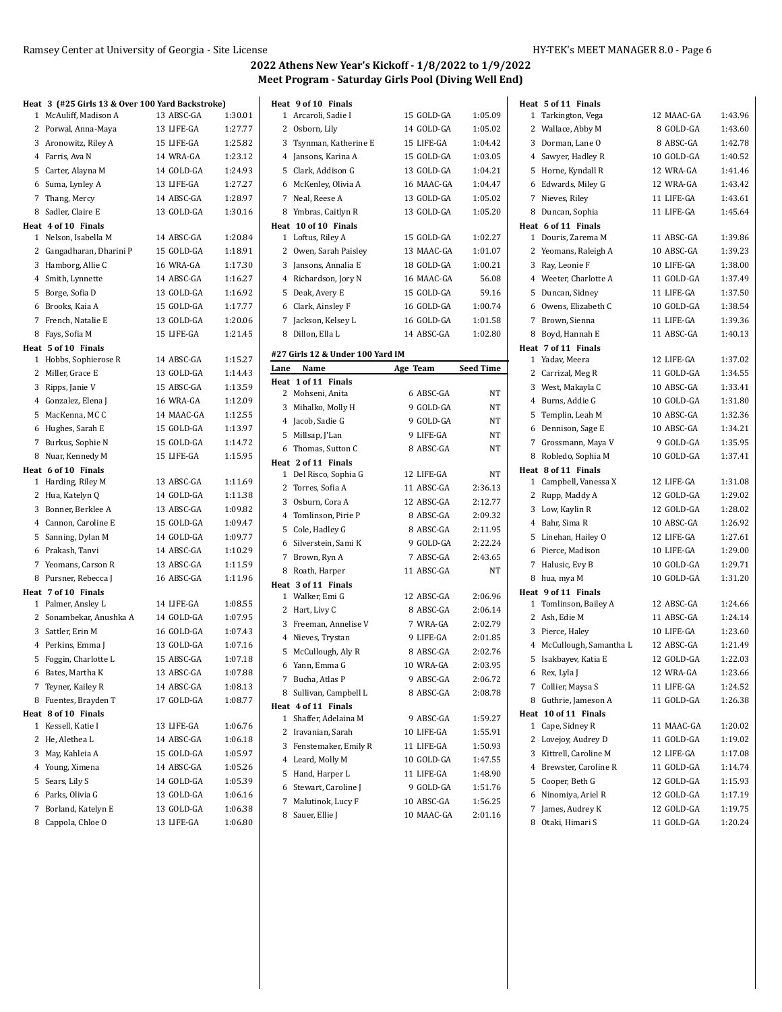|   | Heat 3 (#25 Girls 13 & Over 100 Yard Backstroke) |            |         |
|---|--------------------------------------------------|------------|---------|
| 1 | McAuliff, Madison A                              | 13 ABSC-GA | 1:30.01 |
|   | 2 Porwal, Anna-Maya                              | 13 LIFE-GA | 1:27.77 |
|   | 3 Aronowitz, Riley A                             | 15 LIFE-GA | 1:25.82 |
|   | 4 Farris, Ava N                                  | 14 WRA-GA  | 1:23.12 |
|   | 5 Carter, Alayna M                               | 14 GOLD-GA | 1:24.93 |
|   | 6 Suma, Lynley A                                 | 13 LIFE-GA | 1:27.27 |
|   | 7 Thang, Mercy                                   | 14 ABSC-GA | 1:28.97 |
| 8 | Sadler, Claire E                                 | 13 GOLD-GA | 1:30.16 |
|   | Heat 4 of 10 Finals                              |            |         |
|   | 1 Nelson, Isabella M                             | 14 ABSC-GA | 1:20.84 |
|   | 2 Gangadharan, Dharini P                         | 15 GOLD-GA | 1:18.91 |
|   | 3 Hamborg, Allie C                               | 16 WRA-GA  | 1:17.30 |
|   | 4 Smith, Lynnette                                | 14 ABSC-GA | 1:16.27 |
|   | 5 Borge, Sofia D                                 | 13 GOLD-GA | 1:16.92 |
|   | 6 Brooks, Kaia A                                 | 15 GOLD-GA | 1:17.77 |
|   | 7 French, Natalie E                              | 13 GOLD-GA | 1:20.06 |
| 8 | Fays, Sofia M                                    | 15 LIFE-GA | 1:21.45 |
|   | Heat 5 of 10 Finals                              |            |         |
|   | 1 Hobbs, Sophierose R                            | 14 ABSC-GA | 1:15.27 |
|   | 2 Miller, Grace E                                | 13 GOLD-GA | 1:14.43 |
| 3 | Ripps, Janie V                                   | 15 ABSC-GA | 1:13.59 |
|   | 4 Gonzalez, Elena J                              | 16 WRA-GA  | 1:12.09 |
| 5 | MacKenna, MC C                                   | 14 MAAC-GA | 1:12.55 |
| 6 | Hughes, Sarah E                                  | 15 GOLD-GA | 1:13.97 |
| 7 | Burkus, Sophie N                                 | 15 GOLD-GA | 1:14.72 |
| 8 | Nuar, Kennedy M                                  | 15 LIFE-GA | 1:15.95 |
|   | Heat 6 of 10 Finals                              |            |         |
|   | 1 Harding, Riley M                               | 13 ABSC-GA | 1:11.69 |
| 2 | Hua, Katelyn Q                                   | 14 GOLD-GA | 1:11.38 |
|   | 3 Bonner, Berklee A                              | 13 ABSC-GA | 1:09.82 |
|   | 4 Cannon, Caroline E                             | 15 GOLD-GA | 1:09.47 |
|   | 5 Sanning, Dylan M                               | 14 GOLD-GA | 1:09.77 |
| 6 | Prakash, Tanvi                                   | 14 ABSC-GA | 1:10.29 |
|   | 7 Yeomans, Carson R                              | 13 ABSC-GA | 1:11.59 |
| 8 | Pursner, Rebecca J                               | 16 ABSC-GA | 1:11.96 |
|   | Heat 7 of 10 Finals                              |            |         |
|   | 1 Palmer, Ansley L                               | 14 LIFE-GA | 1:08.55 |
|   | 2 Sonambekar, Anushka A                          | 14 GOLD-GA | 1:07.95 |
|   | 3 Sattler, Erin M                                | 16 GOLD-GA | 1:07.43 |
|   | 4 Perkins, Emma J                                | 13 GOLD-GA | 1:07.16 |
|   | 5 Foggin, Charlotte L                            | 15 ABSC-GA | 1:07.18 |
|   | 6 Bates, Martha K                                | 13 ABSC-GA | 1:07.88 |
| 7 | Teyner, Kailey R                                 | 14 ABSC-GA | 1:08.13 |
| 8 | Fuentes, Brayden T                               | 17 GOLD-GA | 1:08.77 |
|   | Heat 8 of 10 Finals                              |            |         |
| 1 | Kessell, Katie I                                 | 13 LIFE-GA | 1:06.76 |
| 2 | He, Alethea L                                    | 14 ABSC-GA | 1:06.18 |
|   | 3 May, Kahleia A                                 | 15 GOLD-GA | 1:05.97 |
|   | 4 Young, Ximena                                  | 14 ABSC-GA | 1:05.26 |
| 5 | Sears, Lily S                                    | 14 GOLD-GA | 1:05.39 |
| 6 | Parks, Olivia G                                  | 13 GOLD-GA | 1:06.16 |
| 7 | Borland, Katelyn E                               | 13 GOLD-GA | 1:06.38 |
| 8 | Cappola, Chloe O                                 | 13 LIFE-GA | 1:06.80 |

|      | Heat 9 of 10 Finals                          |                          |                  | Heat 5 of 11            |
|------|----------------------------------------------|--------------------------|------------------|-------------------------|
|      | 1 Arcaroli, Sadie I                          | 15 GOLD-GA               | 1:05.09          | 1<br>Tarking            |
|      | 2 Osborn, Lily                               | 14 GOLD-GA               | 1:05.02          | 2 Wallace               |
|      | 3 Tsynman, Katherine E                       | 15 LIFE-GA               | 1:04.42          | 3 Dormar                |
|      | 4 Jansons, Karina A                          | 15 GOLD-GA               | 1:03.05          | 4 Sawyer,               |
|      | 5 Clark, Addison G                           | 13 GOLD-GA               | 1:04.21          | 5 Horne,                |
|      | 6 McKenley, Olivia A                         | 16 MAAC-GA               | 1:04.47          | 6 Edward                |
|      | 7 Neal, Reese A                              | 13 GOLD-GA               | 1:05.02          | 7<br>Nieves,            |
|      | 8 Ymbras, Caitlyn R                          | 13 GOLD-GA               | 1:05.20          | 8 Duncan                |
|      | Heat 10 of 10 Finals                         |                          |                  | Heat 6 of 11            |
|      | 1 Loftus, Riley A                            | 15 GOLD-GA               | 1:02.27          | 1<br>Douris,            |
|      | 2 Owen, Sarah Paisley                        | 13 MAAC-GA               | 1:01.07          | 2 Yeomar                |
|      | 3 Jansons, Annalia E                         | 18 GOLD-GA               | 1:00.21          | 3 Ray, Leo              |
|      | 4 Richardson, Jory N                         | 16 MAAC-GA               | 56.08            | 4 Weeter,               |
|      | 5 Deak, Avery E                              | 15 GOLD-GA               | 59.16            | 5.<br>Duncan            |
|      | 6 Clark, Ainsley F                           | 16 GOLD-GA               | 1:00.74          | 6 Owens,                |
|      | 7 Jackson, Kelsey L                          | 16 GOLD-GA               | 1:01.58          | 7<br>Brown,             |
|      | 8 Dillon, Ella L                             | 14 ABSC-GA               | 1:02.80          | Boyd, H<br>8            |
|      |                                              |                          |                  | Heat 7 of 11            |
|      | #27 Girls 12 & Under 100 Yard IM             |                          |                  | Yadav, M<br>1           |
| Lane | Name                                         | Age Team                 | <b>Seed Time</b> | 2 Carriza               |
|      | Heat 1 of 11 Finals                          |                          |                  | 3 West, M               |
|      | 2 Mohseni, Anita<br>3 Mihalko, Molly H       | 6 ABSC-GA                | NΤ               | 4 Burns,                |
|      |                                              | 9 GOLD-GA                | NΤ               | 5.<br>Templii           |
|      | 4 Jacob, Sadie G                             | 9 GOLD-GA<br>9 LIFE-GA   | NΤ               | 6 Denniso               |
|      | 5 Millsap, J'Lan                             |                          | NT               | 7<br>Grossm             |
|      | 6 Thomas, Sutton C                           | 8 ABSC-GA                | NΤ               | Robled<br>8             |
|      | Heat 2 of 11 Finals<br>1 Del Risco, Sophia G | 12 LIFE-GA               | NΤ               | Heat 8 of 11            |
|      | 2 Torres, Sofia A                            | 11 ABSC-GA               | 2:36.13          | 1 Campbo                |
|      |                                              | 12 ABSC-GA               | 2:12.77          | 2 Rupp, N               |
|      | 3 Osburn, Cora A<br>4 Tomlinson, Pirie P     | 8 ABSC-GA                | 2:09.32          | 3 Low, Ka               |
|      |                                              | 8 ABSC-GA                | 2:11.95          | 4 Bahr, Si              |
|      | 5 Cole, Hadley G                             |                          |                  | 5 Linehar               |
|      | 6 Silverstein, Sami K                        | 9 GOLD-GA                | 2:22.24          | 6 Pierce,               |
|      | 7 Brown, Ryn A                               | 7 ABSC-GA                | 2:43.65          | 7<br>Halusic            |
|      | 8 Roath, Harper                              | 11 ABSC-GA               | NΤ               | 8<br>hua, my            |
|      | Heat 3 of 11 Finals<br>1 Walker, Emi G       | 12 ABSC-GA               | 2:06.96          | Heat 9 of 11            |
|      |                                              | 8 ABSC-GA                | 2:06.14          | $\mathbf{1}$<br>Tomlins |
|      | 2 Hart, Livy C<br>3 Freeman, Annelise V      | 7 WRA-GA                 | 2:02.79          | 2 Ash, Ed               |
|      | 4 Nieves, Trystan                            | 9 LIFE-GA                | 2:01.85          | 3 Pierce,               |
|      |                                              | 8 ABSC-GA                | 2:02.76          | 4 McCullo               |
|      | 5 McCullough, Aly R                          |                          | 2:03.95          | 5 Isakbay               |
|      | 6 Yann, Emma G                               | 10 WRA-GA                |                  | 6 Rex, Lyl              |
|      | 7 Bucha, Atlas P                             | 9 ABSC-GA                | 2:06.72          | 7<br>Collier,           |
|      | 8 Sullivan, Campbell L                       | 8 ABSC-GA                | 2:08.78          | Guthrie<br>8            |
|      | Heat 4 of 11 Finals<br>1 Shaffer, Adelaina M |                          |                  | Heat 10 of 1            |
|      |                                              | 9 ABSC-GA                | 1:59.27          | 1 Cape, Si              |
|      | 2 Iravanian, Sarah                           | 10 LIFE-GA               | 1:55.91          | 2<br>Lovejoy            |
|      | 3 Fenstemaker, Emily R                       | 11 LIFE-GA<br>10 GOLD-GA | 1:50.93          | Kittrell,<br>3          |
|      | 4 Leard, Molly M                             |                          | 1:47.55          | 4<br><b>Brewst</b>      |
|      | 5 Hand, Harper L                             | 11 LIFE-GA               | 1:48.90          | 5 Cooper,               |
|      | 6 Stewart, Caroline J                        | 9 GOLD-GA                | 1:51.76          | 6<br>Ninomi             |
| 7    | Malutinok, Lucy F                            | 10 ABSC-GA               | 1:56.25          | James,<br>7             |
|      | 8 Sauer, Ellie J                             | 10 MAAC-GA               | 2:01.16          |                         |

|        | Heat 5 of 11 Finals                         |                          |                    |
|--------|---------------------------------------------|--------------------------|--------------------|
|        | 1 Tarkington, Vega                          | 12 MAAC-GA               | 1:43.96            |
|        | 2 Wallace, Abby M                           | 8 GOLD-GA                | 1:43.60            |
|        | 3 Dorman, Lane O                            | 8 ABSC-GA                | 1:42.78            |
|        | 4 Sawyer, Hadley R                          | 10 GOLD-GA               | 1:40.52            |
|        | 5 Horne, Kyndall R                          | 12 WRA-GA                | 1:41.46            |
|        | 6 Edwards, Miley G                          | 12 WRA-GA                | 1:43.42            |
| 7      | Nieves, Riley                               | 11 LIFE-GA               | 1:43.61            |
|        | 8 Duncan, Sophia                            | 11 LIFE-GA               | 1:45.64            |
|        | Heat 6 of 11 Finals                         |                          |                    |
|        | 1 Douris, Zarema M                          | 11 ABSC-GA               | 1:39.86            |
|        | 2 Yeomans, Raleigh A                        | 10 ABSC-GA               | 1:39.23            |
|        | 3 Ray, Leonie F                             | 10 LIFE-GA               | 1:38.00            |
|        | 4 Weeter, Charlotte A                       | 11 GOLD-GA               | 1:37.49            |
|        | 5 Duncan, Sidney                            | 11 LIFE-GA               | 1:37.50            |
|        | 6 Owens, Elizabeth C                        | 10 GOLD-GA               | 1:38.54            |
|        | 7 Brown, Sienna                             | 11 LIFE-GA               | 1:39.36            |
|        | 8 Boyd, Hannah E                            | 11 ABSC-GA               | 1:40.13            |
|        | Heat 7 of 11 Finals<br>1 Yadav, Meera       | 12 LIFE-GA               | 1:37.02            |
|        | 2 Carrizal, Meg R                           | 11 GOLD-GA               | 1:34.55            |
|        | 3 West, Makayla C                           | 10 ABSC-GA               | 1:33.41            |
|        | 4 Burns, Addie G                            | 10 GOLD-GA               | 1:31.80            |
|        | 5 Templin, Leah M                           | 10 ABSC-GA               | 1:32.36            |
|        | 6 Dennison, Sage E                          | 10 ABSC-GA               | 1:34.21            |
| 7      | Grossmann, Maya V                           | 9 GOLD-GA                | 1:35.95            |
|        | 8 Robledo, Sophia M                         | 10 GOLD-GA               | 1:37.41            |
|        | Heat 8 of 11 Finals                         |                          |                    |
|        | 1 Campbell, Vanessa X                       | 12 LIFE-GA               | 1:31.08            |
|        | 2 Rupp, Maddy A                             | 12 GOLD-GA               | 1:29.02            |
|        | 3 Low, Kaylin R                             | 12 GOLD-GA               | 1:28.02            |
|        | 4 Bahr, Sima R                              | 10 ABSC-GA               | 1:26.92            |
|        | 5 Linehan, Hailey O                         | 12 LIFE-GA               | 1:27.61            |
|        | 6 Pierce, Madison                           | 10 LIFE-GA               | 1:29.00            |
|        | 7 Halusic, Evy B                            | 10 GOLD-GA               | 1:29.71            |
|        | 8 hua, mya M                                | 10 GOLD-GA               | 1:31.20            |
|        | Heat 9 of 11 Finals                         |                          |                    |
|        | 1 Tomlinson, Bailey A                       | 12 ABSC-GA               | 1:24.66            |
|        | 2 Ash, Edie M                               | 11 ABSC-GA               | 1:24.14            |
|        | 3 Pierce, Haley                             | 10 LIFE-GA               | 1:23.60            |
|        | 4 McCullough, Samantha L                    | 12 ABSC-GA               | 1:21.49            |
|        | 5 Isakbayev, Katia E                        | 12 GOLD-GA               | 1:22.03            |
| 6      | Rex, Lyla J                                 | 12 WRA-GA                | 1:23.66            |
| 7      | Collier, Maysa S                            | 11 LIFE-GA               | 1:24.52            |
| 8      | Guthrie, Jameson A                          | 11 GOLD-GA               | 1:26.38            |
|        | Heat 10 of 11 Finals                        |                          |                    |
| 1<br>2 | Cape, Sidney R                              | 11 MAAC-GA<br>11 GOLD-GA | 1:20.02            |
|        | Lovejoy, Audrey D<br>3 Kittrell, Caroline M | 12 LIFE-GA               | 1:19.02<br>1:17.08 |
|        | 4 Brewster, Caroline R                      | 11 GOLD-GA               | 1:14.74            |
|        | 5 Cooper, Beth G                            | 12 GOLD-GA               | 1:15.93            |
|        | 6 Ninomiya, Ariel R                         | 12 GOLD-GA               | 1:17.19            |
| 7      | James, Audrey K                             | 12 GOLD-GA               | 1:19.75            |
| 8      | Otaki, Himari S                             | 11 GOLD-GA               | 1:20.24            |
|        |                                             |                          |                    |